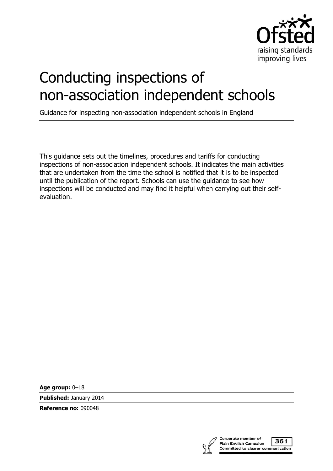

# Conducting inspections of non-association independent schools

Guidance for inspecting non-association independent schools in England

This guidance sets out the timelines, procedures and tariffs for conducting inspections of non-association independent schools. It indicates the main activities that are undertaken from the time the school is notified that it is to be inspected until the publication of the report. Schools can use the guidance to see how inspections will be conducted and may find it helpful when carrying out their selfevaluation.

**Age group:** 0–18

**Published:** January 2014

**Reference no:** 090048

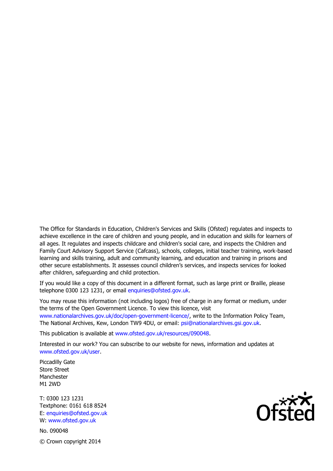The Office for Standards in Education, Children's Services and Skills (Ofsted) regulates and inspects to achieve excellence in the care of children and young people, and in education and skills for learners of all ages. It regulates and inspects childcare and children's social care, and inspects the Children and Family Court Advisory Support Service (Cafcass), schools, colleges, initial teacher training, work-based learning and skills training, adult and community learning, and education and training in prisons and other secure establishments. It assesses council children's services, and inspects services for looked after children, safeguarding and child protection.

If you would like a copy of this document in a different format, such as large print or Braille, please telephone 0300 123 1231, or email enquiries@ofsted.gov.uk.

You may reuse this information (not including logos) free of charge in any format or medium, under the terms of the Open Government Licence. To view this licence, visit www.nationalarchives.gov.uk/doc/open-government-licence/, write to the Information Policy Team, The National Archives, Kew, London TW9 4DU, or email: psi@nationalarchives.gsi.gov.uk.

This publication is available at www.ofsted.gov.uk/resources/090048.

Interested in our work? You can subscribe to our website for news, information and updates at www.ofsted.gov.uk/user.

Piccadilly Gate Store Street Manchester M1 2WD

T: 0300 123 1231 Textphone: 0161 618 8524 E: enquiries@ofsted.gov.uk W: www.ofsted.gov.uk

No. 090048 © Crown copyright 2014

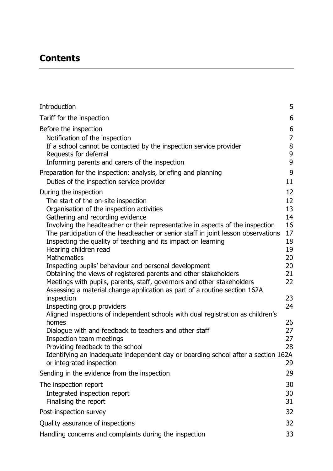# **Contents**

| Introduction                                                                                                                                                                    | 5                             |
|---------------------------------------------------------------------------------------------------------------------------------------------------------------------------------|-------------------------------|
| Tariff for the inspection                                                                                                                                                       | 6                             |
| Before the inspection                                                                                                                                                           | 6                             |
| Notification of the inspection<br>If a school cannot be contacted by the inspection service provider<br>Requests for deferral<br>Informing parents and carers of the inspection | $\overline{7}$<br>8<br>9<br>9 |
| Preparation for the inspection: analysis, briefing and planning                                                                                                                 | 9                             |
| Duties of the inspection service provider                                                                                                                                       | 11                            |
| During the inspection                                                                                                                                                           | 12                            |
| The start of the on-site inspection                                                                                                                                             | 12                            |
| Organisation of the inspection activities                                                                                                                                       | 13                            |
| Gathering and recording evidence                                                                                                                                                | 14<br>16                      |
| Involving the headteacher or their representative in aspects of the inspection<br>The participation of the headteacher or senior staff in joint lesson observations             | 17                            |
| Inspecting the quality of teaching and its impact on learning                                                                                                                   | 18                            |
| Hearing children read                                                                                                                                                           | 19                            |
| <b>Mathematics</b>                                                                                                                                                              | 20                            |
| Inspecting pupils' behaviour and personal development                                                                                                                           | 20                            |
| Obtaining the views of registered parents and other stakeholders                                                                                                                | 21                            |
| Meetings with pupils, parents, staff, governors and other stakeholders                                                                                                          | 22                            |
| Assessing a material change application as part of a routine section 162A                                                                                                       | 23                            |
| inspection<br>Inspecting group providers                                                                                                                                        | 24                            |
| Aligned inspections of independent schools with dual registration as children's                                                                                                 |                               |
| homes                                                                                                                                                                           | 26                            |
| Dialogue with and feedback to teachers and other staff                                                                                                                          | 27                            |
| Inspection team meetings                                                                                                                                                        | 27                            |
| Providing feedback to the school                                                                                                                                                | 28                            |
| Identifying an inadequate independent day or boarding school after a section 162A<br>or integrated inspection                                                                   | 29                            |
|                                                                                                                                                                                 |                               |
| Sending in the evidence from the inspection                                                                                                                                     | 29                            |
| The inspection report                                                                                                                                                           | 30                            |
| Integrated inspection report                                                                                                                                                    | 30                            |
| Finalising the report                                                                                                                                                           | 31                            |
| Post-inspection survey                                                                                                                                                          | 32                            |
| Quality assurance of inspections                                                                                                                                                | 32                            |
| Handling concerns and complaints during the inspection                                                                                                                          | 33                            |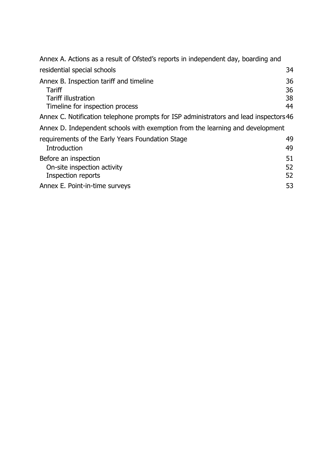| Annex A. Actions as a result of Ofsted's reports in independent day, boarding and                                  |                      |
|--------------------------------------------------------------------------------------------------------------------|----------------------|
| residential special schools                                                                                        | 34                   |
| Annex B. Inspection tariff and timeline<br>Tariff<br><b>Tariff illustration</b><br>Timeline for inspection process | 36<br>36<br>38<br>44 |
| Annex C. Notification telephone prompts for ISP administrators and lead inspectors 46                              |                      |
| Annex D. Independent schools with exemption from the learning and development                                      |                      |
| requirements of the Early Years Foundation Stage<br>Introduction                                                   | 49<br>49             |
| Before an inspection<br>On-site inspection activity<br>Inspection reports                                          | 51<br>52<br>52<br>53 |
| Annex E. Point-in-time surveys                                                                                     |                      |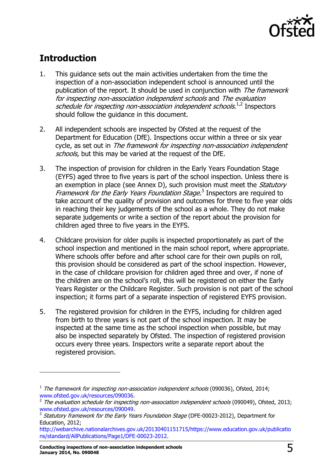

# <span id="page-4-0"></span>**Introduction**

- 1. This guidance sets out the main activities undertaken from the time the inspection of a non-association independent school is announced until the publication of the report. It should be used in conjunction with The framework for inspecting non-association independent schools and The evaluation schedule for inspecting non-association independent schools.<sup>1,2</sup> Inspectors should follow the guidance in this document.
- 2. All independent schools are inspected by Ofsted at the request of the Department for Education (DfE). Inspections occur within a three or six year cycle, as set out in The framework for inspecting non-association independent schools, but this may be varied at the request of the DfE.
- 3. The inspection of provision for children in the Early Years Foundation Stage (EYFS) aged three to five years is part of the school inspection. Unless there is an exemption in place (see Annex D), such provision must meet the *Statutory* Framework for the Early Years Foundation Stage.<sup>3</sup> Inspectors are required to take account of the quality of provision and outcomes for three to five year olds in reaching their key judgements of the school as a whole. They do not make separate judgements or write a section of the report about the provision for children aged three to five years in the EYFS.
- 4. Childcare provision for older pupils is inspected proportionately as part of the school inspection and mentioned in the main school report, where appropriate. Where schools offer before and after school care for their own pupils on roll, this provision should be considered as part of the school inspection. However, in the case of childcare provision for children aged three and over, if none of the children are on the school's roll, this will be registered on either the Early Years Register or the Childcare Register. Such provision is not part of the school inspection; it forms part of a separate inspection of registered EYFS provision.
- 5. The registered provision for children in the EYFS, including for children aged from birth to three years is not part of the school inspection. It may be inspected at the same time as the school inspection when possible, but may also be inspected separately by Ofsted. The inspection of registered provision occurs every three years. Inspectors write a separate report about the registered provision.

 $\overline{a}$ 

<sup>&</sup>lt;sup>1</sup> The framework for inspecting non-association independent schools (090036), Ofsted, 2014; [www.ofsted.gov.uk/resources/090036.](http://www.ofsted.gov.uk/resources/090036)

 $^2$  The evaluation schedule for inspecting non-association independent schools (090049), Ofsted, 2013; [www.ofsted.gov.uk/resources/090049.](http://www.ofsted.gov.uk/resources/090049)

<sup>&</sup>lt;sup>3</sup> Statutory framework for the Early Years Foundation Stage (DFE-00023-2012), Department for Education, 2012;

[http://webarchive.nationalarchives.gov.uk/20130401151715/https://www.education.gov.uk/publicatio](http://webarchive.nationalarchives.gov.uk/20130401151715/https:/www.education.gov.uk/publications/standard/AllPublications/Page1/DFE-00023-2012) [ns/standard/AllPublications/Page1/DFE-00023-2012.](http://webarchive.nationalarchives.gov.uk/20130401151715/https:/www.education.gov.uk/publications/standard/AllPublications/Page1/DFE-00023-2012)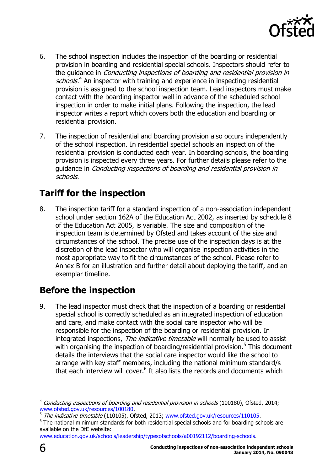

- 6. The school inspection includes the inspection of the boarding or residential provision in boarding and residential special schools. Inspectors should refer to the quidance in *Conducting inspections of boarding and residential provision in* schools.<sup>4</sup> An inspector with training and experience in inspecting residential provision is assigned to the school inspection team. Lead inspectors must make contact with the boarding inspector well in advance of the scheduled school inspection in order to make initial plans. Following the inspection, the lead inspector writes a report which covers both the education and boarding or residential provision.
- 7. The inspection of residential and boarding provision also occurs independently of the school inspection. In residential special schools an inspection of the residential provision is conducted each year. In boarding schools, the boarding provision is inspected every three years. For further details please refer to the guidance in Conducting inspections of boarding and residential provision in schools.

# <span id="page-5-0"></span>**Tariff for the inspection**

8. The inspection tariff for a standard inspection of a non-association independent school under section 162A of the Education Act 2002, as inserted by schedule 8 of the Education Act 2005, is variable. The size and composition of the inspection team is determined by Ofsted and takes account of the size and circumstances of the school. The precise use of the inspection days is at the discretion of the lead inspector who will organise inspection activities in the most appropriate way to fit the circumstances of the school. Please refer to Annex B for an illustration and further detail about deploying the tariff, and an exemplar timeline.

# <span id="page-5-1"></span>**Before the inspection**

9. The lead inspector must check that the inspection of a boarding or residential special school is correctly scheduled as an integrated inspection of education and care, and make contact with the social care inspector who will be responsible for the inspection of the boarding or residential provision. In integrated inspections, The indicative timetable will normally be used to assist with organising the inspection of boarding/residential provision.<sup>5</sup> This document details the interviews that the social care inspector would like the school to arrange with key staff members, including the national minimum standard/s that each interview will cover.<sup>6</sup> It also lists the records and documents which

<sup>&</sup>lt;sup>4</sup> Conducting inspections of boarding and residential provision in schools (100180), Ofsted, 2014; [www.ofsted.gov.uk/resources/100180.](http://www.ofsted.gov.uk/resources/100180)

<sup>&</sup>lt;sup>5</sup> The indicative timetable (110105), Ofsted, 2013; [www.ofsted.gov.uk/resources/110105.](http://www.ofsted.gov.uk/resources/110105)

 $6$  The national minimum standards for both residential special schools and for boarding schools are available on the DfE website:

[www.education.gov.uk/schools/leadership/typesofschools/a00192112/boarding-schools.](http://www.education.gov.uk/schools/leadership/typesofschools/a00192112/boarding-schools)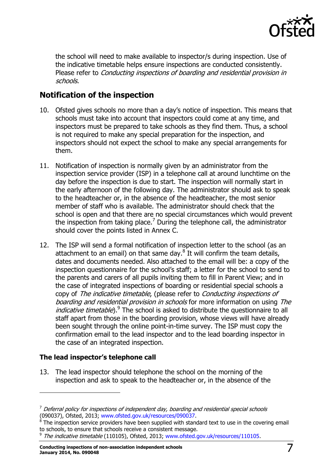

the school will need to make available to inspector/s during inspection. Use of the indicative timetable helps ensure inspections are conducted consistently. Please refer to Conducting inspections of boarding and residential provision in schools.

### <span id="page-6-0"></span>**Notification of the inspection**

- 10. Ofsted gives schools no more than a day's notice of inspection. This means that schools must take into account that inspectors could come at any time, and inspectors must be prepared to take schools as they find them. Thus, a school is not required to make any special preparation for the inspection, and inspectors should not expect the school to make any special arrangements for them.
- 11. Notification of inspection is normally given by an administrator from the inspection service provider (ISP) in a telephone call at around lunchtime on the day before the inspection is due to start. The inspection will normally start in the early afternoon of the following day. The administrator should ask to speak to the headteacher or, in the absence of the headteacher, the most senior member of staff who is available. The administrator should check that the school is open and that there are no special circumstances which would prevent the inspection from taking place.<sup>7</sup> During the telephone call, the administrator should cover the points listed in Annex C.
- 12. The ISP will send a formal notification of inspection letter to the school (as an attachment to an email) on that same day. $8$  It will confirm the team details, dates and documents needed. Also attached to the email will be: a copy of the inspection questionnaire for the school's staff; a letter for the school to send to the parents and carers of all pupils inviting them to fill in Parent View; and in the case of integrated inspections of boarding or residential special schools a copy of The indicative timetable, (please refer to Conducting inspections of boarding and residential provision in schools for more information on using The *indicative timetable*).<sup>9</sup> The school is asked to distribute the questionnaire to all staff apart from those in the boarding provision, whose views will have already been sought through the online point-in-time survey. The ISP must copy the confirmation email to the lead inspector and to the lead boarding inspector in the case of an integrated inspection.

#### **The lead inspector's telephone call**

 $\overline{a}$ 

13. The lead inspector should telephone the school on the morning of the inspection and ask to speak to the headteacher or, in the absence of the

 $7$  Deferral policy for inspections of independent day, boarding and residential special schools (090037), Ofsted, 2013; [www.ofsted.gov.uk/resources/090037.](http://www.ofsted.gov.uk/resources/090037)

<sup>8</sup> The inspection service providers have been supplied with standard text to use in the covering email to schools, to ensure that schools receive a consistent message.

<sup>&</sup>lt;sup>9</sup> The indicative timetable (110105), Ofsted, 2013; [www.ofsted.gov.uk/resources/110105.](http://www.ofsted.gov.uk/resources/110105)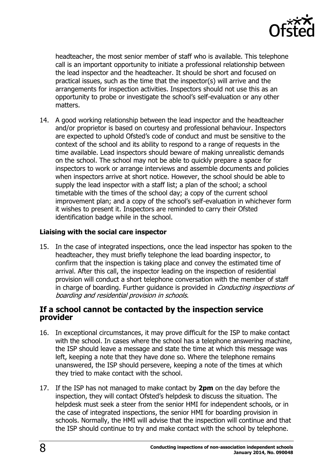

headteacher, the most senior member of staff who is available. This telephone call is an important opportunity to initiate a professional relationship between the lead inspector and the headteacher. It should be short and focused on practical issues, such as the time that the inspector(s) will arrive and the arrangements for inspection activities. Inspectors should not use this as an opportunity to probe or investigate the school's self-evaluation or any other matters.

14. A good working relationship between the lead inspector and the headteacher and/or proprietor is based on courtesy and professional behaviour. Inspectors are expected to uphold Ofsted's code of conduct and must be sensitive to the context of the school and its ability to respond to a range of requests in the time available. Lead inspectors should beware of making unrealistic demands on the school. The school may not be able to quickly prepare a space for inspectors to work or arrange interviews and assemble documents and policies when inspectors arrive at short notice. However, the school should be able to supply the lead inspector with a staff list; a plan of the school; a school timetable with the times of the school day; a copy of the current school improvement plan; and a copy of the school's self-evaluation in whichever form it wishes to present it. Inspectors are reminded to carry their Ofsted identification badge while in the school.

#### **Liaising with the social care inspector**

15. In the case of integrated inspections, once the lead inspector has spoken to the headteacher, they must briefly telephone the lead boarding inspector, to confirm that the inspection is taking place and convey the estimated time of arrival. After this call, the inspector leading on the inspection of residential provision will conduct a short telephone conversation with the member of staff in charge of boarding. Further guidance is provided in *Conducting inspections of* boarding and residential provision in schools.

#### <span id="page-7-0"></span>**If a school cannot be contacted by the inspection service provider**

- 16. In exceptional circumstances, it may prove difficult for the ISP to make contact with the school. In cases where the school has a telephone answering machine, the ISP should leave a message and state the time at which this message was left, keeping a note that they have done so. Where the telephone remains unanswered, the ISP should persevere, keeping a note of the times at which they tried to make contact with the school.
- 17. If the ISP has not managed to make contact by **2pm** on the day before the inspection, they will contact Ofsted's helpdesk to discuss the situation. The helpdesk must seek a steer from the senior HMI for independent schools, or in the case of integrated inspections, the senior HMI for boarding provision in schools. Normally, the HMI will advise that the inspection will continue and that the ISP should continue to try and make contact with the school by telephone.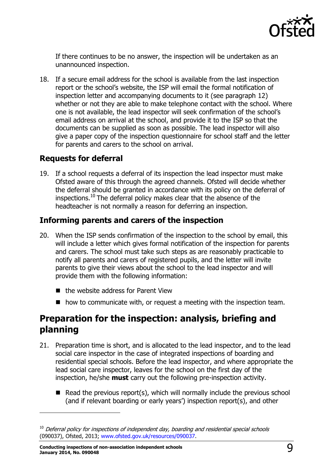

If there continues to be no answer, the inspection will be undertaken as an unannounced inspection.

18. If a secure email address for the school is available from the last inspection report or the school's website, the ISP will email the formal notification of inspection letter and accompanying documents to it (see paragraph 12) whether or not they are able to make telephone contact with the school. Where one is not available, the lead inspector will seek confirmation of the school's email address on arrival at the school, and provide it to the ISP so that the documents can be supplied as soon as possible. The lead inspector will also give a paper copy of the inspection questionnaire for school staff and the letter for parents and carers to the school on arrival.

#### <span id="page-8-0"></span>**Requests for deferral**

19. If a school requests a deferral of its inspection the lead inspector must make Ofsted aware of this through the agreed channels. Ofsted will decide whether the deferral should be granted in accordance with its policy on the deferral of inspections.<sup>10</sup> The deferral policy makes clear that the absence of the headteacher is not normally a reason for deferring an inspection.

### <span id="page-8-1"></span>**Informing parents and carers of the inspection**

- 20. When the ISP sends confirmation of the inspection to the school by email, this will include a letter which gives formal notification of the inspection for parents and carers. The school must take such steps as are reasonably practicable to notify all parents and carers of registered pupils, and the letter will invite parents to give their views about the school to the lead inspector and will provide them with the following information:
	- the website address for Parent View
	- how to communicate with, or request a meeting with the inspection team.

# <span id="page-8-2"></span>**Preparation for the inspection: analysis, briefing and planning**

- 21. Preparation time is short, and is allocated to the lead inspector, and to the lead social care inspector in the case of integrated inspections of boarding and residential special schools. Before the lead inspector, and where appropriate the lead social care inspector, leaves for the school on the first day of the inspection, he/she **must** carry out the following pre-inspection activity.
	- Read the previous report(s), which will normally include the previous school (and if relevant boarding or early years') inspection report(s), and other

 $10$  Deferral policy for inspections of independent day, boarding and residential special schools (090037), Ofsted, 2013; [www.ofsted.gov.uk/resources/090037.](http://www.ofsted.gov.uk/resources/090037)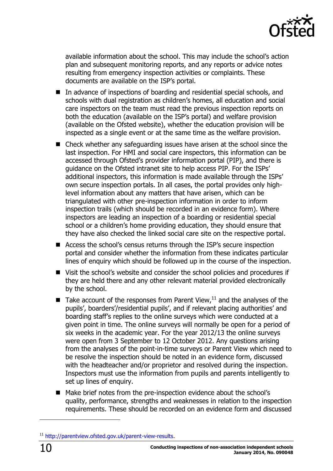

available information about the school. This may include the school's action plan and subsequent monitoring reports, and any reports or advice notes resulting from emergency inspection activities or complaints. These documents are available on the ISP's portal.

- In advance of inspections of boarding and residential special schools, and schools with dual registration as children's homes, all education and social care inspectors on the team must read the previous inspection reports on both the education (available on the ISP's portal) and welfare provision (available on the Ofsted website), whether the education provision will be inspected as a single event or at the same time as the welfare provision.
- Check whether any safeguarding issues have arisen at the school since the last inspection. For HMI and social care inspectors, this information can be accessed through Ofsted's provider information portal (PIP), and there is guidance on the Ofsted intranet site to help access PIP. For the ISPs' additional inspectors, this information is made available through the ISPs' own secure inspection portals. In all cases, the portal provides only highlevel information about any matters that have arisen, which can be triangulated with other pre-inspection information in order to inform inspection trails (which should be recorded in an evidence form). Where inspectors are leading an inspection of a boarding or residential special school or a children's home providing education, they should ensure that they have also checked the linked social care site on the respective portal.
- Access the school's census returns through the ISP's secure inspection portal and consider whether the information from these indicates particular lines of enquiry which should be followed up in the course of the inspection.
- Visit the school's website and consider the school policies and procedures if they are held there and any other relevant material provided electronically by the school.
- $\blacksquare$  Take account of the responses from Parent View,  $^{11}$  and the analyses of the pupils', boarders'/residential pupils', and if relevant placing authorities' and boarding staff's replies to the online surveys which were conducted at a given point in time. The online surveys will normally be open for a period of six weeks in the academic year. For the year 2012/13 the online surveys were open from 3 September to 12 October 2012. Any questions arising from the analyses of the point-in-time surveys or Parent View which need to be resolve the inspection should be noted in an evidence form, discussed with the headteacher and/or proprietor and resolved during the inspection. Inspectors must use the information from pupils and parents intelligently to set up lines of enquiry.
- Make brief notes from the pre-inspection evidence about the school's quality, performance, strengths and weaknesses in relation to the inspection requirements. These should be recorded on an evidence form and discussed

<sup>11</sup> [http://parentview.ofsted.gov.uk/parent-view-results.](http://parentview.ofsted.gov.uk/parent-view-results)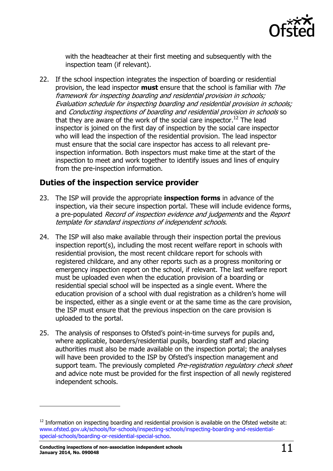

with the headteacher at their first meeting and subsequently with the inspection team (if relevant).

22. If the school inspection integrates the inspection of boarding or residential provision, the lead inspector **must** ensure that the school is familiar with The framework for inspecting boarding and residential provision in schools; Evaluation schedule for inspecting boarding and residential provision in schools; and Conducting inspections of boarding and residential provision in schools so that they are aware of the work of the social care inspector.<sup>12</sup> The lead inspector is joined on the first day of inspection by the social care inspector who will lead the inspection of the residential provision. The lead inspector must ensure that the social care inspector has access to all relevant preinspection information. Both inspectors must make time at the start of the inspection to meet and work together to identify issues and lines of enquiry from the pre-inspection information.

#### <span id="page-10-0"></span>**Duties of the inspection service provider**

- 23. The ISP will provide the appropriate **inspection forms** in advance of the inspection, via their secure inspection portal. These will include evidence forms, a pre-populated Record of inspection evidence and judgements and the Report template for standard inspections of independent schools.
- 24. The ISP will also make available through their inspection portal the previous inspection report(s), including the most recent welfare report in schools with residential provision, the most recent childcare report for schools with registered childcare, and any other reports such as a progress monitoring or emergency inspection report on the school, if relevant. The last welfare report must be uploaded even when the education provision of a boarding or residential special school will be inspected as a single event. Where the education provision of a school with dual registration as a children's home will be inspected, either as a single event or at the same time as the care provision, the ISP must ensure that the previous inspection on the care provision is uploaded to the portal.
- 25. The analysis of responses to Ofsted's point-in-time surveys for pupils and, where applicable, boarders/residential pupils, boarding staff and placing authorities must also be made available on the inspection portal; the analyses will have been provided to the ISP by Ofsted's inspection management and support team. The previously completed Pre-registration regulatory check sheet and advice note must be provided for the first inspection of all newly registered independent schools.

 $12$  Information on inspecting boarding and residential provision is available on the Ofsted website at: [www.ofsted.gov.uk/schools/for-schools/inspecting-schools/inspecting-boarding-and-residential](http://www.ofsted.gov.uk/schools/for-schools/inspecting-schools/inspecting-boarding-and-residential-special-schools/boarding-or-residential-special-schoo)[special-schools/boarding-or-residential-special-schoo.](http://www.ofsted.gov.uk/schools/for-schools/inspecting-schools/inspecting-boarding-and-residential-special-schools/boarding-or-residential-special-schoo)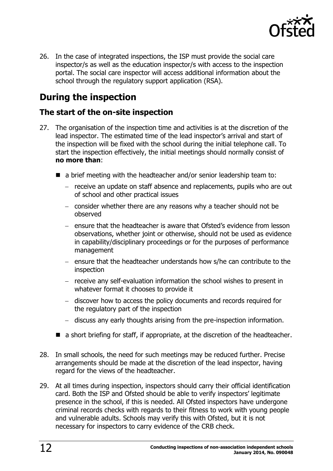

26. In the case of integrated inspections, the ISP must provide the social care inspector/s as well as the education inspector/s with access to the inspection portal. The social care inspector will access additional information about the school through the regulatory support application (RSA).

# <span id="page-11-0"></span>**During the inspection**

### <span id="page-11-1"></span>**The start of the on-site inspection**

- 27. The organisation of the inspection time and activities is at the discretion of the lead inspector. The estimated time of the lead inspector's arrival and start of the inspection will be fixed with the school during the initial telephone call. To start the inspection effectively, the initial meetings should normally consist of **no more than**:
	- a brief meeting with the headteacher and/or senior leadership team to:
		- receive an update on staff absence and replacements, pupils who are out of school and other practical issues
		- consider whether there are any reasons why a teacher should not be observed
		- ensure that the headteacher is aware that Ofsted's evidence from lesson observations, whether joint or otherwise, should not be used as evidence in capability/disciplinary proceedings or for the purposes of performance management
		- $-$  ensure that the headteacher understands how s/he can contribute to the inspection
		- receive any self-evaluation information the school wishes to present in whatever format it chooses to provide it
		- discover how to access the policy documents and records required for the regulatory part of the inspection
		- discuss any early thoughts arising from the pre-inspection information.
	- a short briefing for staff, if appropriate, at the discretion of the headteacher.
- 28. In small schools, the need for such meetings may be reduced further. Precise arrangements should be made at the discretion of the lead inspector, having regard for the views of the headteacher.
- 29. At all times during inspection, inspectors should carry their official identification card. Both the ISP and Ofsted should be able to verify inspectors' legitimate presence in the school, if this is needed. All Ofsted inspectors have undergone criminal records checks with regards to their fitness to work with young people and vulnerable adults. Schools may verify this with Ofsted, but it is not necessary for inspectors to carry evidence of the CRB check.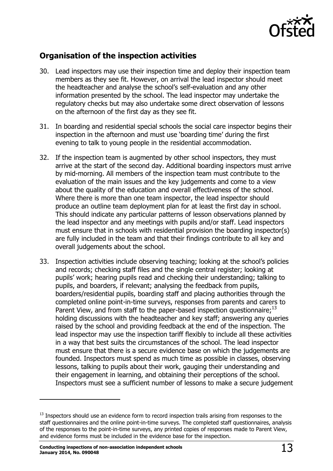

### <span id="page-12-0"></span>**Organisation of the inspection activities**

- 30. Lead inspectors may use their inspection time and deploy their inspection team members as they see fit. However, on arrival the lead inspector should meet the headteacher and analyse the school's self-evaluation and any other information presented by the school. The lead inspector may undertake the regulatory checks but may also undertake some direct observation of lessons on the afternoon of the first day as they see fit.
- 31. In boarding and residential special schools the social care inspector begins their inspection in the afternoon and must use 'boarding time' during the first evening to talk to young people in the residential accommodation.
- 32. If the inspection team is augmented by other school inspectors, they must arrive at the start of the second day. Additional boarding inspectors must arrive by mid-morning. All members of the inspection team must contribute to the evaluation of the main issues and the key judgements and come to a view about the quality of the education and overall effectiveness of the school. Where there is more than one team inspector, the lead inspector should produce an outline team deployment plan for at least the first day in school. This should indicate any particular patterns of lesson observations planned by the lead inspector and any meetings with pupils and/or staff. Lead inspectors must ensure that in schools with residential provision the boarding inspector(s) are fully included in the team and that their findings contribute to all key and overall judgements about the school.
- 33. Inspection activities include observing teaching; looking at the school's policies and records; checking staff files and the single central register; looking at pupils' work; hearing pupils read and checking their understanding; talking to pupils, and boarders, if relevant; analysing the feedback from pupils, boarders/residential pupils, boarding staff and placing authorities through the completed online point-in-time surveys, responses from parents and carers to Parent View, and from staff to the paper-based inspection questionnaire;<sup>13</sup> holding discussions with the headteacher and key staff; answering any queries raised by the school and providing feedback at the end of the inspection. The lead inspector may use the inspection tariff flexibly to include all these activities in a way that best suits the circumstances of the school. The lead inspector must ensure that there is a secure evidence base on which the judgements are founded. Inspectors must spend as much time as possible in classes, observing lessons, talking to pupils about their work, gauging their understanding and their engagement in learning, and obtaining their perceptions of the school. Inspectors must see a sufficient number of lessons to make a secure judgement

 $13$  Inspectors should use an evidence form to record inspection trails arising from responses to the staff questionnaires and the online point-in-time surveys. The completed staff questionnaires, analysis of the responses to the point-in-time surveys, any printed copies of responses made to Parent View, and evidence forms must be included in the evidence base for the inspection.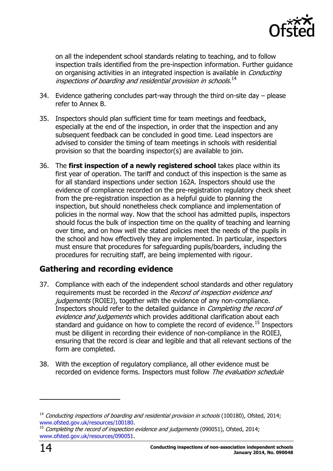

on all the independent school standards relating to teaching, and to follow inspection trails identified from the pre-inspection information. Further guidance on organising activities in an integrated inspection is available in *Conducting* inspections of boarding and residential provision in schools.14

- 34. Evidence gathering concludes part-way through the third on-site day please refer to Annex B.
- 35. Inspectors should plan sufficient time for team meetings and feedback, especially at the end of the inspection, in order that the inspection and any subsequent feedback can be concluded in good time. Lead inspectors are advised to consider the timing of team meetings in schools with residential provision so that the boarding inspector(s) are available to join.
- 36. The **first inspection of a newly registered school** takes place within its first year of operation. The tariff and conduct of this inspection is the same as for all standard inspections under section 162A. Inspectors should use the evidence of compliance recorded on the pre-registration regulatory check sheet from the pre-registration inspection as a helpful guide to planning the inspection, but should nonetheless check compliance and implementation of policies in the normal way. Now that the school has admitted pupils, inspectors should focus the bulk of inspection time on the quality of teaching and learning over time, and on how well the stated policies meet the needs of the pupils in the school and how effectively they are implemented. In particular, inspectors must ensure that procedures for safeguarding pupils/boarders, including the procedures for recruiting staff, are being implemented with rigour.

### <span id="page-13-0"></span>**Gathering and recording evidence**

- 37. Compliance with each of the independent school standards and other regulatory requirements must be recorded in the Record of inspection evidence and judgements (ROIEJ), together with the evidence of any non-compliance. Inspectors should refer to the detailed guidance in Completing the record of evidence and judgements which provides additional clarification about each standard and quidance on how to complete the record of evidence.<sup>15</sup> Inspectors must be diligent in recording their evidence of non-compliance in the ROIEJ, ensuring that the record is clear and legible and that all relevant sections of the form are completed.
- 38. With the exception of regulatory compliance, all other evidence must be recorded on evidence forms. Inspectors must follow The evaluation schedule

 $14$  Conducting inspections of boarding and residential provision in schools (100180), Ofsted, 2014; [www.ofsted.gov.uk/resources/100180.](http://www.ofsted.gov.uk/resources/100180)

Completing the record of inspection evidence and judgements (090051), Ofsted, 2014; [www.ofsted.gov.uk/resources/090051.](http://www.ofsted.gov.uk/resources/090051)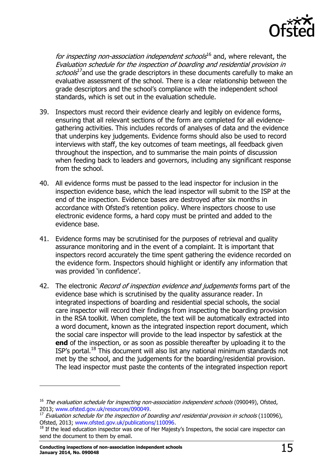

for inspecting non-association independent schools<sup>16</sup> and, where relevant, the Evaluation schedule for the inspection of boarding and residential provision in schools<sup>17</sup>and use the grade descriptors in these documents carefully to make an evaluative assessment of the school. There is a clear relationship between the grade descriptors and the school's compliance with the independent school standards, which is set out in the evaluation schedule.

- 39. Inspectors must record their evidence clearly and legibly on evidence forms, ensuring that all relevant sections of the form are completed for all evidencegathering activities. This includes records of analyses of data and the evidence that underpins key judgements. Evidence forms should also be used to record interviews with staff, the key outcomes of team meetings, all feedback given throughout the inspection, and to summarise the main points of discussion when feeding back to leaders and governors, including any significant response from the school.
- 40. All evidence forms must be passed to the lead inspector for inclusion in the inspection evidence base, which the lead inspector will submit to the ISP at the end of the inspection. Evidence bases are destroyed after six months in accordance with Ofsted's retention policy. Where inspectors choose to use electronic evidence forms, a hard copy must be printed and added to the evidence base.
- 41. Evidence forms may be scrutinised for the purposes of retrieval and quality assurance monitoring and in the event of a complaint. It is important that inspectors record accurately the time spent gathering the evidence recorded on the evidence form. Inspectors should highlight or identify any information that was provided 'in confidence'.
- 42. The electronic *Record of inspection evidence and judgements* forms part of the evidence base which is scrutinised by the quality assurance reader. In integrated inspections of boarding and residential special schools, the social care inspector will record their findings from inspecting the boarding provision in the RSA toolkit. When complete, the text will be automatically extracted into a word document, known as the integrated inspection report document, which the social care inspector will provide to the lead inspector by safestick at the **end** of the inspection, or as soon as possible thereafter by uploading it to the ISP's portal.<sup>18</sup> This document will also list any national minimum standards not met by the school, and the judgements for the boarding/residential provision. The lead inspector must paste the contents of the integrated inspection report

 $16$  The evaluation schedule for inspecting non-association independent schools (090049), Ofsted, 2013; [www.ofsted.gov.uk/resources/090049.](http://www.ofsted.gov.uk/resources/090049)

 $17$  Evaluation schedule for the inspection of boarding and residential provision in schools (110096), Ofsted, 2013; [www.ofsted.gov.uk/publications/110096.](http://www.ofsted.gov.uk/publications/110096)

<sup>18</sup> If the lead education inspector was one of Her Majesty's Inspectors, the social care inspector can send the document to them by email.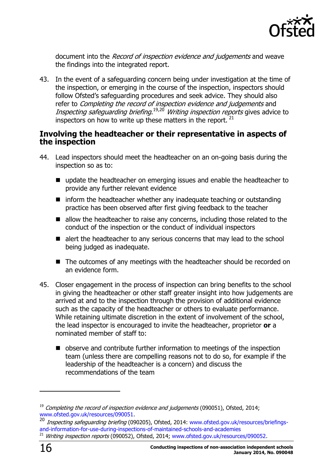

document into the Record of inspection evidence and judgements and weave the findings into the integrated report.

43. In the event of a safeguarding concern being under investigation at the time of the inspection, or emerging in the course of the inspection, inspectors should follow Ofsted's safeguarding procedures and seek advice. They should also refer to *Completing the record of inspection evidence and judgements* and Inspecting safeguarding briefing.<sup>19,20</sup> Writing inspection reports gives advice to inspectors on how to write up these matters in the report.  $21$ 

#### <span id="page-15-0"></span>**Involving the headteacher or their representative in aspects of the inspection**

- 44. Lead inspectors should meet the headteacher on an on-going basis during the inspection so as to:
	- update the headteacher on emerging issues and enable the headteacher to provide any further relevant evidence
	- $\blacksquare$  inform the headteacher whether any inadequate teaching or outstanding practice has been observed after first giving feedback to the teacher
	- allow the headteacher to raise any concerns, including those related to the conduct of the inspection or the conduct of individual inspectors
	- alert the headteacher to any serious concerns that may lead to the school being judged as inadequate.
	- The outcomes of any meetings with the headteacher should be recorded on an evidence form.
- 45. Closer engagement in the process of inspection can bring benefits to the school in giving the headteacher or other staff greater insight into how judgements are arrived at and to the inspection through the provision of additional evidence such as the capacity of the headteacher or others to evaluate performance. While retaining ultimate discretion in the extent of involvement of the school, the lead inspector is encouraged to invite the headteacher, proprietor **or** a nominated member of staff to:
	- observe and contribute further information to meetings of the inspection team (unless there are compelling reasons not to do so, for example if the leadership of the headteacher is a concern) and discuss the recommendations of the team

 $19$  Completing the record of inspection evidence and judgements (090051), Ofsted, 2014; [www.ofsted.gov.uk/resources/090051.](http://www.ofsted.gov.uk/resources/090051)

<sup>20</sup> Inspecting safeguarding briefing (090205), Ofsted, 2014: [www.ofsted.gov.uk/resources/briefings](http://www.ofsted.gov.uk/resources/briefings-and-information-for-use-during-inspections-of-maintained-schools-and-academies)[and-information-for-use-during-inspections-of-maintained-schools-and-academies](http://www.ofsted.gov.uk/resources/briefings-and-information-for-use-during-inspections-of-maintained-schools-and-academies) <sup>21</sup> Writing inspection reports (090052), Ofsted, 2014; [www.ofsted.gov.uk/resources/090052.](http://www.ofsted.gov.uk/resources/090052)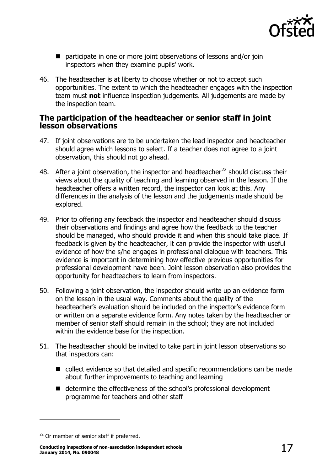

- participate in one or more joint observations of lessons and/or join inspectors when they examine pupils' work.
- 46. The headteacher is at liberty to choose whether or not to accept such opportunities. The extent to which the headteacher engages with the inspection team must **not** influence inspection judgements. All judgements are made by the inspection team.

#### <span id="page-16-0"></span>**The participation of the headteacher or senior staff in joint lesson observations**

- 47. If joint observations are to be undertaken the lead inspector and headteacher should agree which lessons to select. If a teacher does not agree to a joint observation, this should not go ahead.
- 48. After a joint observation, the inspector and headteacher<sup>22</sup> should discuss their views about the quality of teaching and learning observed in the lesson. If the headteacher offers a written record, the inspector can look at this. Any differences in the analysis of the lesson and the judgements made should be explored.
- 49. Prior to offering any feedback the inspector and headteacher should discuss their observations and findings and agree how the feedback to the teacher should be managed, who should provide it and when this should take place. If feedback is given by the headteacher, it can provide the inspector with useful evidence of how the s/he engages in professional dialogue with teachers. This evidence is important in determining how effective previous opportunities for professional development have been. Joint lesson observation also provides the opportunity for headteachers to learn from inspectors.
- 50. Following a joint observation, the inspector should write up an evidence form on the lesson in the usual way. Comments about the quality of the headteacher's evaluation should be included on the inspector's evidence form or written on a separate evidence form. Any notes taken by the headteacher or member of senior staff should remain in the school; they are not included within the evidence base for the inspection.
- 51. The headteacher should be invited to take part in joint lesson observations so that inspectors can:
	- collect evidence so that detailed and specific recommendations can be made about further improvements to teaching and learning
	- determine the effectiveness of the school's professional development programme for teachers and other staff

 $22$  Or member of senior staff if preferred.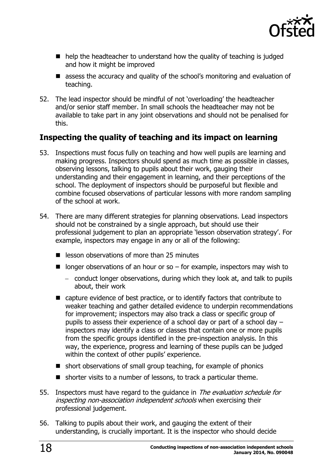

- help the headteacher to understand how the quality of teaching is judged and how it might be improved
- assess the accuracy and quality of the school's monitoring and evaluation of teaching.
- 52. The lead inspector should be mindful of not 'overloading' the headteacher and/or senior staff member. In small schools the headteacher may not be available to take part in any joint observations and should not be penalised for this.

### <span id="page-17-0"></span>**Inspecting the quality of teaching and its impact on learning**

- 53. Inspections must focus fully on teaching and how well pupils are learning and making progress. Inspectors should spend as much time as possible in classes, observing lessons, talking to pupils about their work, gauging their understanding and their engagement in learning, and their perceptions of the school. The deployment of inspectors should be purposeful but flexible and combine focused observations of particular lessons with more random sampling of the school at work.
- 54. There are many different strategies for planning observations. Lead inspectors should not be constrained by a single approach, but should use their professional judgement to plan an appropriate 'lesson observation strategy'. For example, inspectors may engage in any or all of the following:
	- $\blacksquare$  lesson observations of more than 25 minutes
	- longer observations of an hour or so  $-$  for example, inspectors may wish to
		- conduct longer observations, during which they look at, and talk to pupils about, their work
	- capture evidence of best practice, or to identify factors that contribute to weaker teaching and gather detailed evidence to underpin recommendations for improvement; inspectors may also track a class or specific group of pupils to assess their experience of a school day or part of a school day – inspectors may identify a class or classes that contain one or more pupils from the specific groups identified in the pre-inspection analysis. In this way, the experience, progress and learning of these pupils can be judged within the context of other pupils' experience.
	- short observations of small group teaching, for example of phonics
	- $\blacksquare$  shorter visits to a number of lessons, to track a particular theme.
- 55. Inspectors must have regard to the quidance in *The evaluation schedule for* inspecting non-association independent schools when exercising their professional judgement.
- 56. Talking to pupils about their work, and gauging the extent of their understanding, is crucially important. It is the inspector who should decide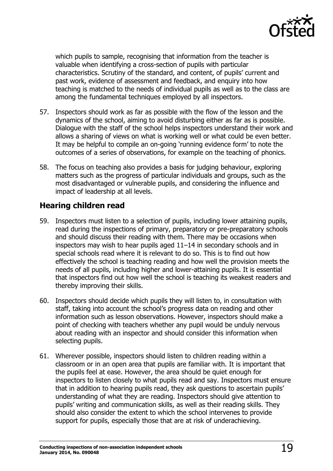

which pupils to sample, recognising that information from the teacher is valuable when identifying a cross-section of pupils with particular characteristics. Scrutiny of the standard, and content, of pupils' current and past work, evidence of assessment and feedback, and enquiry into how teaching is matched to the needs of individual pupils as well as to the class are among the fundamental techniques employed by all inspectors.

- 57. Inspectors should work as far as possible with the flow of the lesson and the dynamics of the school, aiming to avoid disturbing either as far as is possible. Dialogue with the staff of the school helps inspectors understand their work and allows a sharing of views on what is working well or what could be even better. It may be helpful to compile an on-going 'running evidence form' to note the outcomes of a series of observations, for example on the teaching of phonics.
- 58. The focus on teaching also provides a basis for judging behaviour, exploring matters such as the progress of particular individuals and groups, such as the most disadvantaged or vulnerable pupils, and considering the influence and impact of leadership at all levels.

### <span id="page-18-0"></span>**Hearing children read**

- 59. Inspectors must listen to a selection of pupils, including lower attaining pupils, read during the inspections of primary, preparatory or pre-preparatory schools and should discuss their reading with them. There may be occasions when inspectors may wish to hear pupils aged 11–14 in secondary schools and in special schools read where it is relevant to do so. This is to find out how effectively the school is teaching reading and how well the provision meets the needs of all pupils, including higher and lower-attaining pupils. It is essential that inspectors find out how well the school is teaching its weakest readers and thereby improving their skills.
- 60. Inspectors should decide which pupils they will listen to, in consultation with staff, taking into account the school's progress data on reading and other information such as lesson observations. However, inspectors should make a point of checking with teachers whether any pupil would be unduly nervous about reading with an inspector and should consider this information when selecting pupils.
- 61. Wherever possible, inspectors should listen to children reading within a classroom or in an open area that pupils are familiar with. It is important that the pupils feel at ease. However, the area should be quiet enough for inspectors to listen closely to what pupils read and say. Inspectors must ensure that in addition to hearing pupils read, they ask questions to ascertain pupils' understanding of what they are reading. Inspectors should give attention to pupils' writing and communication skills, as well as their reading skills. They should also consider the extent to which the school intervenes to provide support for pupils, especially those that are at risk of underachieving.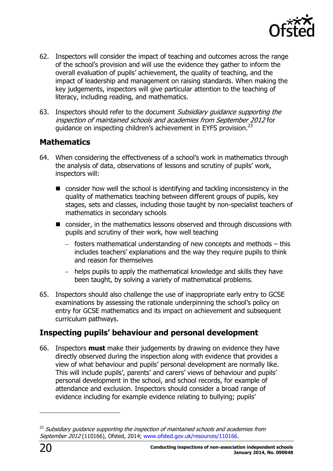

- 62. Inspectors will consider the impact of teaching and outcomes across the range of the school's provision and will use the evidence they gather to inform the overall evaluation of pupils' achievement, the quality of teaching, and the impact of leadership and management on raising standards. When making the key judgements, inspectors will give particular attention to the teaching of literacy, including reading, and mathematics.
- 63. Inspectors should refer to the document Subsidiary guidance supporting the inspection of maintained schools and academies from September 2012 for guidance on inspecting children's achievement in EYFS provision.<sup>23</sup>

### <span id="page-19-0"></span>**Mathematics**

- 64. When considering the effectiveness of a school's work in mathematics through the analysis of data, observations of lessons and scrutiny of pupils' work, inspectors will:
	- consider how well the school is identifying and tackling inconsistency in the quality of mathematics teaching between different groups of pupils, key stages, sets and classes, including those taught by non-specialist teachers of mathematics in secondary schools
	- consider, in the mathematics lessons observed and through discussions with pupils and scrutiny of their work, how well teaching
		- $-$  fosters mathematical understanding of new concepts and methods  $-$  this includes teachers' explanations and the way they require pupils to think and reason for themselves
		- helps pupils to apply the mathematical knowledge and skills they have been taught, by solving a variety of mathematical problems.
- 65. Inspectors should also challenge the use of inappropriate early entry to GCSE examinations by assessing the rationale underpinning the school's policy on entry for GCSE mathematics and its impact on achievement and subsequent curriculum pathways.

### <span id="page-19-1"></span>**Inspecting pupils' behaviour and personal development**

66. Inspectors **must** make their judgements by drawing on evidence they have directly observed during the inspection along with evidence that provides a view of what behaviour and pupils' personal development are normally like. This will include pupils', parents' and carers' views of behaviour and pupils' personal development in the school, and school records, for example of attendance and exclusion. Inspectors should consider a broad range of evidence including for example evidence relating to bullying; pupils'

 $23$  Subsidiary guidance supporting the inspection of maintained schools and academies from September 2012 (110166), Ofsted, 2014; [www.ofsted.gov.uk/resources/110166.](http://www.ofsted.gov.uk/resources/110166)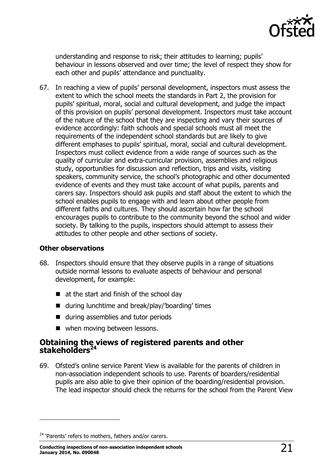

understanding and response to risk; their attitudes to learning; pupils' behaviour in lessons observed and over time; the level of respect they show for each other and pupils' attendance and punctuality.

67. In reaching a view of pupils' personal development, inspectors must assess the extent to which the school meets the standards in Part 2, the provision for pupils' spiritual, moral, social and cultural development, and judge the impact of this provision on pupils' personal development. Inspectors must take account of the nature of the school that they are inspecting and vary their sources of evidence accordingly: faith schools and special schools must all meet the requirements of the independent school standards but are likely to give different emphases to pupils' spiritual, moral, social and cultural development. Inspectors must collect evidence from a wide range of sources such as the quality of curricular and extra-curricular provision, assemblies and religious study, opportunities for discussion and reflection, trips and visits, visiting speakers, community service, the school's photographic and other documented evidence of events and they must take account of what pupils, parents and carers say. Inspectors should ask pupils and staff about the extent to which the school enables pupils to engage with and learn about other people from different faiths and cultures. They should ascertain how far the school encourages pupils to contribute to the community beyond the school and wider society. By talking to the pupils, inspectors should attempt to assess their attitudes to other people and other sections of society.

#### **Other observations**

j

- 68. Inspectors should ensure that they observe pupils in a range of situations outside normal lessons to evaluate aspects of behaviour and personal development, for example:
	- at the start and finish of the school day
	- during lunchtime and break/play/'boarding' times
	- during assemblies and tutor periods
	- when moving between lessons.

#### <span id="page-20-0"></span>**Obtaining the views of registered parents and other stakeholders<sup>24</sup>**

69. Ofsted's online service Parent View is available for the parents of children in non-association independent schools to use. Parents of boarders/residential pupils are also able to give their opinion of the boarding/residential provision. The lead inspector should check the returns for the school from the Parent View

<sup>&</sup>lt;sup>24</sup> 'Parents' refers to mothers, fathers and/or carers.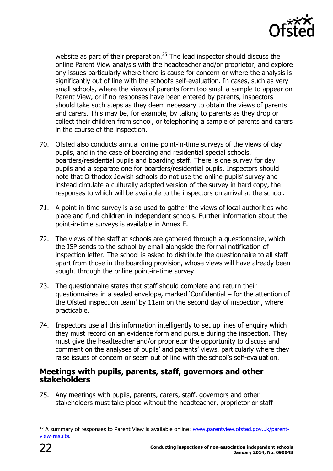

website as part of their preparation.<sup>25</sup> The lead inspector should discuss the online Parent View analysis with the headteacher and/or proprietor, and explore any issues particularly where there is cause for concern or where the analysis is significantly out of line with the school's self-evaluation. In cases, such as very small schools, where the views of parents form too small a sample to appear on Parent View, or if no responses have been entered by parents, inspectors should take such steps as they deem necessary to obtain the views of parents and carers. This may be, for example, by talking to parents as they drop or collect their children from school, or telephoning a sample of parents and carers in the course of the inspection.

- 70. Ofsted also conducts annual online point-in-time surveys of the views of day pupils, and in the case of boarding and residential special schools, boarders/residential pupils and boarding staff. There is one survey for day pupils and a separate one for boarders/residential pupils. Inspectors should note that Orthodox Jewish schools do not use the online pupils' survey and instead circulate a culturally adapted version of the survey in hard copy, the responses to which will be available to the inspectors on arrival at the school.
- 71. A point-in-time survey is also used to gather the views of local authorities who place and fund children in independent schools. Further information about the point-in-time surveys is available in Annex E.
- 72. The views of the staff at schools are gathered through a questionnaire, which the ISP sends to the school by email alongside the formal notification of inspection letter. The school is asked to distribute the questionnaire to all staff apart from those in the boarding provision, whose views will have already been sought through the online point-in-time survey.
- 73. The questionnaire states that staff should complete and return their questionnaires in a sealed envelope, marked 'Confidential – for the attention of the Ofsted inspection team' by 11am on the second day of inspection, where practicable.
- 74. Inspectors use all this information intelligently to set up lines of enquiry which they must record on an evidence form and pursue during the inspection. They must give the headteacher and/or proprietor the opportunity to discuss and comment on the analyses of pupils' and parents' views, particularly where they raise issues of concern or seem out of line with the school's self-evaluation.

#### <span id="page-21-0"></span>**Meetings with pupils, parents, staff, governors and other stakeholders**

75. Any meetings with pupils, parents, carers, staff, governors and other stakeholders must take place without the headteacher, proprietor or staff

<sup>&</sup>lt;sup>25</sup> A summary of responses to Parent View is available online: [www.parentview.ofsted.gov.uk/parent](http://www.parentview.ofsted.gov.uk/parent-view-results)[view-results.](http://www.parentview.ofsted.gov.uk/parent-view-results)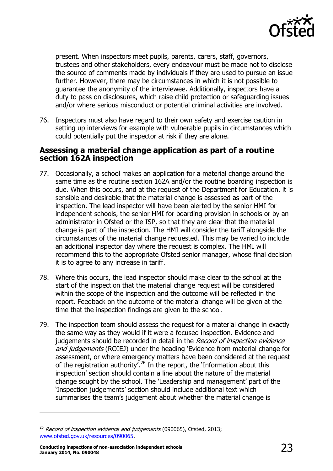

present. When inspectors meet pupils, parents, carers, staff, governors, trustees and other stakeholders, every endeavour must be made not to disclose the source of comments made by individuals if they are used to pursue an issue further. However, there may be circumstances in which it is not possible to guarantee the anonymity of the interviewee. Additionally, inspectors have a duty to pass on disclosures, which raise child protection or safeguarding issues and/or where serious misconduct or potential criminal activities are involved.

76. Inspectors must also have regard to their own safety and exercise caution in setting up interviews for example with vulnerable pupils in circumstances which could potentially put the inspector at risk if they are alone.

#### <span id="page-22-0"></span>**Assessing a material change application as part of a routine section 162A inspection**

- 77. Occasionally, a school makes an application for a material change around the same time as the routine section 162A and/or the routine boarding inspection is due. When this occurs, and at the request of the Department for Education, it is sensible and desirable that the material change is assessed as part of the inspection. The lead inspector will have been alerted by the senior HMI for independent schools, the senior HMI for boarding provision in schools or by an administrator in Ofsted or the ISP, so that they are clear that the material change is part of the inspection. The HMI will consider the tariff alongside the circumstances of the material change requested. This may be varied to include an additional inspector day where the request is complex. The HMI will recommend this to the appropriate Ofsted senior manager, whose final decision it is to agree to any increase in tariff.
- 78. Where this occurs, the lead inspector should make clear to the school at the start of the inspection that the material change request will be considered within the scope of the inspection and the outcome will be reflected in the report. Feedback on the outcome of the material change will be given at the time that the inspection findings are given to the school.
- 79. The inspection team should assess the request for a material change in exactly the same way as they would if it were a focused inspection. Evidence and judgements should be recorded in detail in the Record of inspection evidence and judgements (ROIEJ) under the heading 'Evidence from material change for assessment, or where emergency matters have been considered at the request of the registration authority<sup>726</sup> In the report, the 'Information about this inspection' section should contain a line about the nature of the material change sought by the school. The 'Leadership and management' part of the 'Inspection judgements' section should include additional text which summarises the team's judgement about whether the material change is

 $26$  Record of inspection evidence and judgements (090065), Ofsted, 2013; [www.ofsted.gov.uk/resources/090065.](http://www.ofsted.gov.uk/resources/090065)

**Conducting inspections of non-association independent schools January 2014, No. 090048** 23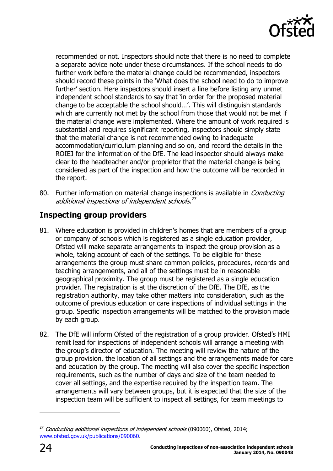

recommended or not. Inspectors should note that there is no need to complete a separate advice note under these circumstances. If the school needs to do further work before the material change could be recommended, inspectors should record these points in the 'What does the school need to do to improve further' section. Here inspectors should insert a line before listing any unmet independent school standards to say that 'in order for the proposed material change to be acceptable the school should…'. This will distinguish standards which are currently not met by the school from those that would not be met if the material change were implemented. Where the amount of work required is substantial and requires significant reporting, inspectors should simply state that the material change is not recommended owing to inadequate accommodation/curriculum planning and so on, and record the details in the ROIEJ for the information of the DfE. The lead inspector should always make clear to the headteacher and/or proprietor that the material change is being considered as part of the inspection and how the outcome will be recorded in the report.

80. Further information on material change inspections is available in *Conducting* additional inspections of independent schools.<sup>27</sup>

## <span id="page-23-0"></span>**Inspecting group providers**

- 81. Where education is provided in children's homes that are members of a group or company of schools which is registered as a single education provider, Ofsted will make separate arrangements to inspect the group provision as a whole, taking account of each of the settings. To be eligible for these arrangements the group must share common policies, procedures, records and teaching arrangements, and all of the settings must be in reasonable geographical proximity. The group must be registered as a single education provider. The registration is at the discretion of the DfE. The DfE, as the registration authority, may take other matters into consideration, such as the outcome of previous education or care inspections of individual settings in the group. Specific inspection arrangements will be matched to the provision made by each group.
- 82. The DfE will inform Ofsted of the registration of a group provider. Ofsted's HMI remit lead for inspections of independent schools will arrange a meeting with the group's director of education. The meeting will review the nature of the group provision, the location of all settings and the arrangements made for care and education by the group. The meeting will also cover the specific inspection requirements, such as the number of days and size of the team needed to cover all settings, and the expertise required by the inspection team. The arrangements will vary between groups, but it is expected that the size of the inspection team will be sufficient to inspect all settings, for team meetings to

 $27$  Conducting additional inspections of independent schools (090060), Ofsted, 2014; [www.ofsted.gov.uk/publications/090060.](http://www.ofsted.gov.uk/publications/090060)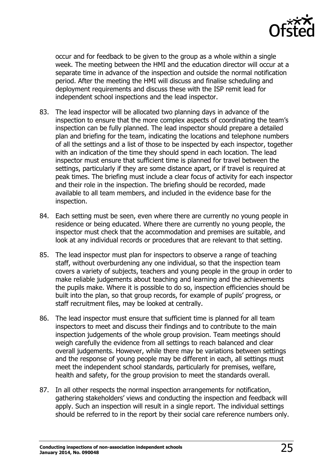

occur and for feedback to be given to the group as a whole within a single week. The meeting between the HMI and the education director will occur at a separate time in advance of the inspection and outside the normal notification period. After the meeting the HMI will discuss and finalise scheduling and deployment requirements and discuss these with the ISP remit lead for independent school inspections and the lead inspector.

- 83. The lead inspector will be allocated two planning days in advance of the inspection to ensure that the more complex aspects of coordinating the team's inspection can be fully planned. The lead inspector should prepare a detailed plan and briefing for the team, indicating the locations and telephone numbers of all the settings and a list of those to be inspected by each inspector, together with an indication of the time they should spend in each location. The lead inspector must ensure that sufficient time is planned for travel between the settings, particularly if they are some distance apart, or if travel is required at peak times. The briefing must include a clear focus of activity for each inspector and their role in the inspection. The briefing should be recorded, made available to all team members, and included in the evidence base for the inspection.
- 84. Each setting must be seen, even where there are currently no young people in residence or being educated. Where there are currently no young people, the inspector must check that the accommodation and premises are suitable, and look at any individual records or procedures that are relevant to that setting.
- 85. The lead inspector must plan for inspectors to observe a range of teaching staff, without overburdening any one individual, so that the inspection team covers a variety of subjects, teachers and young people in the group in order to make reliable judgements about teaching and learning and the achievements the pupils make. Where it is possible to do so, inspection efficiencies should be built into the plan, so that group records, for example of pupils' progress, or staff recruitment files, may be looked at centrally.
- 86. The lead inspector must ensure that sufficient time is planned for all team inspectors to meet and discuss their findings and to contribute to the main inspection judgements of the whole group provision. Team meetings should weigh carefully the evidence from all settings to reach balanced and clear overall judgements. However, while there may be variations between settings and the response of young people may be different in each, all settings must meet the independent school standards, particularly for premises, welfare, health and safety, for the group provision to meet the standards overall.
- 87. In all other respects the normal inspection arrangements for notification, gathering stakeholders' views and conducting the inspection and feedback will apply. Such an inspection will result in a single report. The individual settings should be referred to in the report by their social care reference numbers only.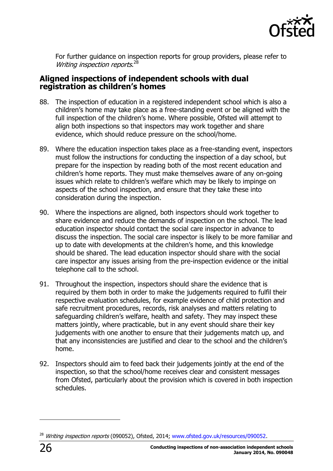

For further guidance on inspection reports for group providers, please refer to Writing inspection reports.<sup>28</sup>

#### <span id="page-25-0"></span>**Aligned inspections of independent schools with dual registration as children's homes**

- 88. The inspection of education in a registered independent school which is also a children's home may take place as a free-standing event or be aligned with the full inspection of the children's home. Where possible, Ofsted will attempt to align both inspections so that inspectors may work together and share evidence, which should reduce pressure on the school/home.
- 89. Where the education inspection takes place as a free-standing event, inspectors must follow the instructions for conducting the inspection of a day school, but prepare for the inspection by reading both of the most recent education and children's home reports. They must make themselves aware of any on-going issues which relate to children's welfare which may be likely to impinge on aspects of the school inspection, and ensure that they take these into consideration during the inspection.
- 90. Where the inspections are aligned, both inspectors should work together to share evidence and reduce the demands of inspection on the school. The lead education inspector should contact the social care inspector in advance to discuss the inspection. The social care inspector is likely to be more familiar and up to date with developments at the children's home, and this knowledge should be shared. The lead education inspector should share with the social care inspector any issues arising from the pre-inspection evidence or the initial telephone call to the school.
- 91. Throughout the inspection, inspectors should share the evidence that is required by them both in order to make the judgements required to fulfil their respective evaluation schedules, for example evidence of child protection and safe recruitment procedures, records, risk analyses and matters relating to safeguarding children's welfare, health and safety. They may inspect these matters jointly, where practicable, but in any event should share their key judgements with one another to ensure that their judgements match up, and that any inconsistencies are justified and clear to the school and the children's home.
- 92. Inspectors should aim to feed back their judgements jointly at the end of the inspection, so that the school/home receives clear and consistent messages from Ofsted, particularly about the provision which is covered in both inspection schedules.

<sup>&</sup>lt;sup>28</sup> Writing inspection reports (090052), Ofsted, 2014; [www.ofsted.gov.uk/resources/090052.](http://www.ofsted.gov.uk/resources/090052)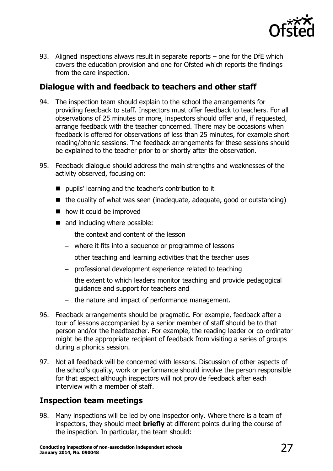

93. Aligned inspections always result in separate reports – one for the DfE which covers the education provision and one for Ofsted which reports the findings from the care inspection.

### <span id="page-26-0"></span>**Dialogue with and feedback to teachers and other staff**

- 94. The inspection team should explain to the school the arrangements for providing feedback to staff. Inspectors must offer feedback to teachers. For all observations of 25 minutes or more, inspectors should offer and, if requested, arrange feedback with the teacher concerned. There may be occasions when feedback is offered for observations of less than 25 minutes, for example short reading/phonic sessions. The feedback arrangements for these sessions should be explained to the teacher prior to or shortly after the observation.
- 95. Feedback dialogue should address the main strengths and weaknesses of the activity observed, focusing on:
	- pupils' learning and the teacher's contribution to it
	- $\blacksquare$  the quality of what was seen (inadequate, adequate, good or outstanding)
	- how it could be improved
	- and including where possible:
		- $-$  the context and content of the lesson
		- where it fits into a sequence or programme of lessons
		- other teaching and learning activities that the teacher uses
		- professional development experience related to teaching
		- the extent to which leaders monitor teaching and provide pedagogical guidance and support for teachers and
		- $-$  the nature and impact of performance management.
- 96. Feedback arrangements should be pragmatic. For example, feedback after a tour of lessons accompanied by a senior member of staff should be to that person and/or the headteacher. For example, the reading leader or co-ordinator might be the appropriate recipient of feedback from visiting a series of groups during a phonics session.
- 97. Not all feedback will be concerned with lessons. Discussion of other aspects of the school's quality, work or performance should involve the person responsible for that aspect although inspectors will not provide feedback after each interview with a member of staff.

#### <span id="page-26-1"></span>**Inspection team meetings**

98. Many inspections will be led by one inspector only. Where there is a team of inspectors, they should meet **briefly** at different points during the course of the inspection. In particular, the team should: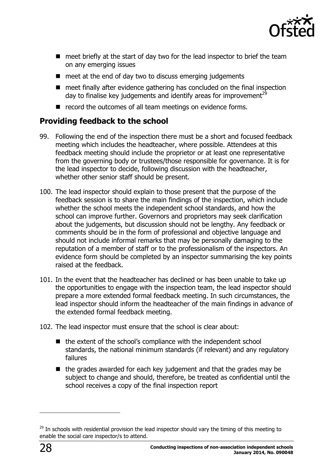

- $\blacksquare$  meet briefly at the start of day two for the lead inspector to brief the team on any emerging issues
- $\blacksquare$  meet at the end of day two to discuss emerging judgements
- meet finally after evidence gathering has concluded on the final inspection day to finalise key judgements and identify areas for improvement<sup>29</sup>
- record the outcomes of all team meetings on evidence forms.

### <span id="page-27-0"></span>**Providing feedback to the school**

- 99. Following the end of the inspection there must be a short and focused feedback meeting which includes the headteacher, where possible. Attendees at this feedback meeting should include the proprietor or at least one representative from the governing body or trustees/those responsible for governance. It is for the lead inspector to decide, following discussion with the headteacher, whether other senior staff should be present.
- 100. The lead inspector should explain to those present that the purpose of the feedback session is to share the main findings of the inspection, which include whether the school meets the independent school standards, and how the school can improve further. Governors and proprietors may seek clarification about the judgements, but discussion should not be lengthy. Any feedback or comments should be in the form of professional and objective language and should not include informal remarks that may be personally damaging to the reputation of a member of staff or to the professionalism of the inspectors. An evidence form should be completed by an inspector summarising the key points raised at the feedback.
- 101. In the event that the headteacher has declined or has been unable to take up the opportunities to engage with the inspection team, the lead inspector should prepare a more extended formal feedback meeting. In such circumstances, the lead inspector should inform the headteacher of the main findings in advance of the extended formal feedback meeting.
- 102. The lead inspector must ensure that the school is clear about:
	- $\blacksquare$  the extent of the school's compliance with the independent school standards, the national minimum standards (if relevant) and any regulatory failures
	- $\blacksquare$  the grades awarded for each key judgement and that the grades may be subject to change and should, therefore, be treated as confidential until the school receives a copy of the final inspection report

<sup>&</sup>lt;sup>29</sup> In schools with residential provision the lead inspector should vary the timing of this meeting to enable the social care inspector/s to attend.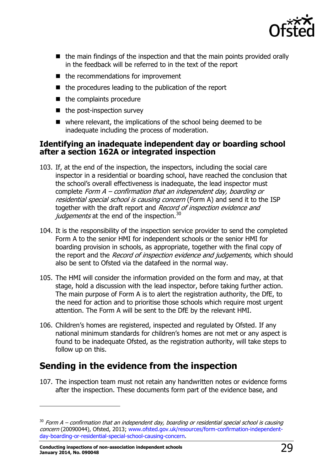

- $\blacksquare$  the main findings of the inspection and that the main points provided orally in the feedback will be referred to in the text of the report
- $\blacksquare$  the recommendations for improvement
- $\blacksquare$  the procedures leading to the publication of the report
- $\blacksquare$  the complaints procedure
- $\blacksquare$  the post-inspection survey
- where relevant, the implications of the school being deemed to be inadequate including the process of moderation.

#### <span id="page-28-0"></span>**Identifying an inadequate independent day or boarding school after a section 162A or integrated inspection**

- 103. If, at the end of the inspection, the inspectors, including the social care inspector in a residential or boarding school, have reached the conclusion that the school's overall effectiveness is inadequate, the lead inspector must complete Form A – confirmation that an independent day, boarding or residential special school is causing concern (Form A) and send it to the ISP together with the draft report and Record of inspection evidence and judgements at the end of the inspection.<sup>30</sup>
- 104. It is the responsibility of the inspection service provider to send the completed Form A to the senior HMI for independent schools or the senior HMI for boarding provision in schools, as appropriate, together with the final copy of the report and the *Record of inspection evidence and judgements*, which should also be sent to Ofsted via the datafeed in the normal way.
- 105. The HMI will consider the information provided on the form and may, at that stage, hold a discussion with the lead inspector, before taking further action. The main purpose of Form A is to alert the registration authority, the DfE, to the need for action and to prioritise those schools which require most urgent attention. The Form A will be sent to the DfE by the relevant HMI.
- 106. Children's homes are registered, inspected and regulated by Ofsted. If any national minimum standards for children's homes are not met or any aspect is found to be inadequate Ofsted, as the registration authority, will take steps to follow up on this.

# <span id="page-28-1"></span>**Sending in the evidence from the inspection**

107. The inspection team must not retain any handwritten notes or evidence forms after the inspection. These documents form part of the evidence base, and

 $30$  Form A – confirmation that an independent day, boarding or residential special school is causing concern (20090044), Ofsted, 2013; [www.ofsted.gov.uk/resources/form-confirmation-independent](http://www.ofsted.gov.uk/resources/form-confirmation-independent-day-boarding-or-residential-special-school-causing-concern)[day-boarding-or-residential-special-school-causing-concern.](http://www.ofsted.gov.uk/resources/form-confirmation-independent-day-boarding-or-residential-special-school-causing-concern)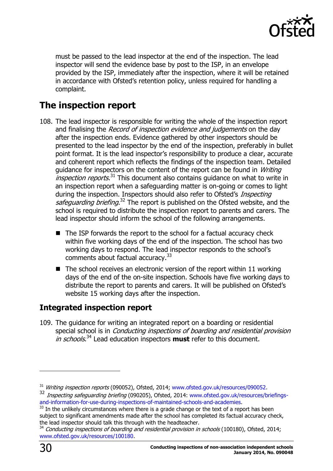

must be passed to the lead inspector at the end of the inspection. The lead inspector will send the evidence base by post to the ISP, in an envelope provided by the ISP, immediately after the inspection, where it will be retained in accordance with Ofsted's retention policy, unless required for handling a complaint.

# <span id="page-29-0"></span>**The inspection report**

- 108. The lead inspector is responsible for writing the whole of the inspection report and finalising the *Record of inspection evidence and judgements* on the day after the inspection ends. Evidence gathered by other inspectors should be presented to the lead inspector by the end of the inspection, preferably in bullet point format. It is the lead inspector's responsibility to produce a clear, accurate and coherent report which reflects the findings of the inspection team. Detailed guidance for inspectors on the content of the report can be found in *Writing inspection reports*.<sup>31</sup> This document also contains guidance on what to write in an inspection report when a safeguarding matter is on-going or comes to light during the inspection. Inspectors should also refer to Ofsted's *Inspecting* safeguarding briefing.<sup>32</sup> The report is published on the Ofsted website, and the school is required to distribute the inspection report to parents and carers. The lead inspector should inform the school of the following arrangements.
	- $\blacksquare$  The ISP forwards the report to the school for a factual accuracy check within five working days of the end of the inspection. The school has two working days to respond. The lead inspector responds to the school's comments about factual accuracy.<sup>33</sup>
	- $\blacksquare$  The school receives an electronic version of the report within 11 working days of the end of the on-site inspection. Schools have five working days to distribute the report to parents and carers. It will be published on Ofsted's website 15 working days after the inspection.

### <span id="page-29-1"></span>**Integrated inspection report**

109. The guidance for writing an integrated report on a boarding or residential special school is in *Conducting inspections of boarding and residential provision* in schools. <sup>34</sup> Lead education inspectors **must** refer to this document.

 $\overline{a}$ 

<sup>&</sup>lt;sup>31</sup> Writing inspection reports (090052), Ofsted, 2014; [www.ofsted.gov.uk/resources/090052.](http://www.ofsted.gov.uk/resources/090052)

<sup>&</sup>lt;sup>32</sup> Inspecting safequarding briefing (090205), Ofsted, 2014: [www.ofsted.gov.uk/resources/briefings](http://www.ofsted.gov.uk/resources/briefings-and-information-for-use-during-inspections-of-maintained-schools-and-academies)[and-information-for-use-during-inspections-of-maintained-schools-and-academies.](http://www.ofsted.gov.uk/resources/briefings-and-information-for-use-during-inspections-of-maintained-schools-and-academies)

 $33$  In the unlikely circumstances where there is a grade change or the text of a report has been subject to significant amendments made after the school has completed its factual accuracy check, the lead inspector should talk this through with the headteacher.

and idea inspector should take the chosego mercurrent contracted in *schools* (100180), Ofsted, 2014; [www.ofsted.gov.uk/resources/100180.](http://www.ofsted.gov.uk/resources/100180)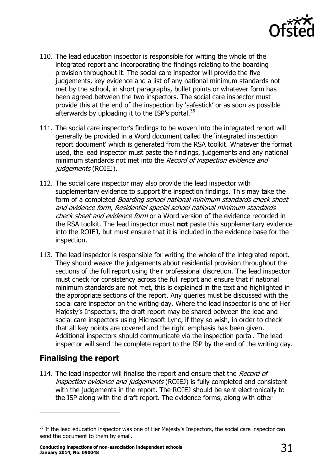

- 110. The lead education inspector is responsible for writing the whole of the integrated report and incorporating the findings relating to the boarding provision throughout it. The social care inspector will provide the five judgements, key evidence and a list of any national minimum standards not met by the school, in short paragraphs, bullet points or whatever form has been agreed between the two inspectors. The social care inspector must provide this at the end of the inspection by 'safestick' or as soon as possible afterwards by uploading it to the ISP's portal. $35$
- 111. The social care inspector's findings to be woven into the integrated report will generally be provided in a Word document called the 'integrated inspection report document' which is generated from the RSA toolkit. Whatever the format used, the lead inspector must paste the findings, judgements and any national minimum standards not met into the Record of inspection evidence and judgements (ROIEJ).
- 112. The social care inspector may also provide the lead inspector with supplementary evidence to support the inspection findings. This may take the form of a completed *Boarding school national minimum standards check sheet* and evidence form, Residential special school national minimum standards check sheet and evidence form or a Word version of the evidence recorded in the RSA toolkit. The lead inspector must **not** paste this supplementary evidence into the ROIEJ, but must ensure that it is included in the evidence base for the inspection.
- 113. The lead inspector is responsible for writing the whole of the integrated report. They should weave the judgements about residential provision throughout the sections of the full report using their professional discretion. The lead inspector must check for consistency across the full report and ensure that if national minimum standards are not met, this is explained in the text and highlighted in the appropriate sections of the report. Any queries must be discussed with the social care inspector on the writing day. Where the lead inspector is one of Her Majesty's Inspectors, the draft report may be shared between the lead and social care inspectors using Microsoft Lync, if they so wish, in order to check that all key points are covered and the right emphasis has been given. Additional inspectors should communicate via the inspection portal. The lead inspector will send the complete report to the ISP by the end of the writing day.

## <span id="page-30-0"></span>**Finalising the report**

j

114. The lead inspector will finalise the report and ensure that the Record of inspection evidence and judgements (ROIEJ) is fully completed and consistent with the judgements in the report. The ROIEJ should be sent electronically to the ISP along with the draft report. The evidence forms, along with other

<sup>&</sup>lt;sup>35</sup> If the lead education inspector was one of Her Majesty's Inspectors, the social care inspector can send the document to them by email.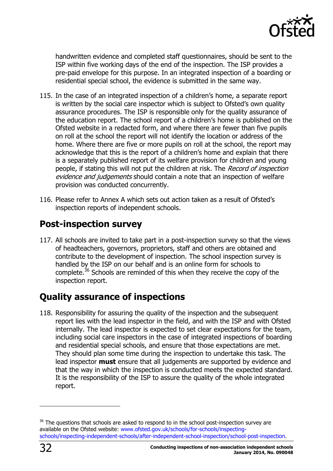

handwritten evidence and completed staff questionnaires, should be sent to the ISP within five working days of the end of the inspection. The ISP provides a pre-paid envelope for this purpose. In an integrated inspection of a boarding or residential special school, the evidence is submitted in the same way.

- 115. In the case of an integrated inspection of a children's home, a separate report is written by the social care inspector which is subject to Ofsted's own quality assurance procedures. The ISP is responsible only for the quality assurance of the education report. The school report of a children's home is published on the Ofsted website in a redacted form, and where there are fewer than five pupils on roll at the school the report will not identify the location or address of the home. Where there are five or more pupils on roll at the school, the report may acknowledge that this is the report of a children's home and explain that there is a separately published report of its welfare provision for children and young people, if stating this will not put the children at risk. The Record of inspection evidence and judgements should contain a note that an inspection of welfare provision was conducted concurrently.
- 116. Please refer to Annex A which sets out action taken as a result of Ofsted's inspection reports of independent schools.

# <span id="page-31-0"></span>**Post-inspection survey**

117. All schools are invited to take part in a post-inspection survey so that the views of headteachers, governors, proprietors, staff and others are obtained and contribute to the development of inspection. The school inspection survey is handled by the ISP on our behalf and is an online form for schools to complete.<sup>36</sup> Schools are reminded of this when they receive the copy of the inspection report.

# <span id="page-31-1"></span>**Quality assurance of inspections**

118. Responsibility for assuring the quality of the inspection and the subsequent report lies with the lead inspector in the field, and with the ISP and with Ofsted internally. The lead inspector is expected to set clear expectations for the team, including social care inspectors in the case of integrated inspections of boarding and residential special schools, and ensure that those expectations are met. They should plan some time during the inspection to undertake this task. The lead inspector **must** ensure that all judgements are supported by evidence and that the way in which the inspection is conducted meets the expected standard. It is the responsibility of the ISP to assure the quality of the whole integrated report.

<sup>&</sup>lt;sup>36</sup> The questions that schools are asked to respond to in the school post-inspection survey are available on the Ofsted website: [www.ofsted.gov.uk/schools/for-schools/inspecting](http://www.ofsted.gov.uk/schools/for-schools/inspecting-schools/inspecting-independent-schools/after-independent-school-inspection/school-post-inspection)[schools/inspecting-independent-schools/after-independent-school-inspection/school-post-inspection.](http://www.ofsted.gov.uk/schools/for-schools/inspecting-schools/inspecting-independent-schools/after-independent-school-inspection/school-post-inspection)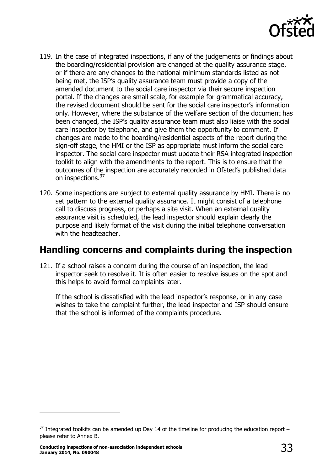

- 119. In the case of integrated inspections, if any of the judgements or findings about the boarding/residential provision are changed at the quality assurance stage, or if there are any changes to the national minimum standards listed as not being met, the ISP's quality assurance team must provide a copy of the amended document to the social care inspector via their secure inspection portal. If the changes are small scale, for example for grammatical accuracy, the revised document should be sent for the social care inspector's information only. However, where the substance of the welfare section of the document has been changed, the ISP's quality assurance team must also liaise with the social care inspector by telephone, and give them the opportunity to comment. If changes are made to the boarding/residential aspects of the report during the sign-off stage, the HMI or the ISP as appropriate must inform the social care inspector. The social care inspector must update their RSA integrated inspection toolkit to align with the amendments to the report. This is to ensure that the outcomes of the inspection are accurately recorded in Ofsted's published data on inspections.<sup>37</sup>
- 120. Some inspections are subject to external quality assurance by HMI. There is no set pattern to the external quality assurance. It might consist of a telephone call to discuss progress, or perhaps a site visit. When an external quality assurance visit is scheduled, the lead inspector should explain clearly the purpose and likely format of the visit during the initial telephone conversation with the headteacher.

# <span id="page-32-0"></span>**Handling concerns and complaints during the inspection**

121. If a school raises a concern during the course of an inspection, the lead inspector seek to resolve it. It is often easier to resolve issues on the spot and this helps to avoid formal complaints later.

If the school is dissatisfied with the lead inspector's response, or in any case wishes to take the complaint further, the lead inspector and ISP should ensure that the school is informed of the complaints procedure.

 $37$  Integrated toolkits can be amended up Day 14 of the timeline for producing the education report – please refer to Annex B.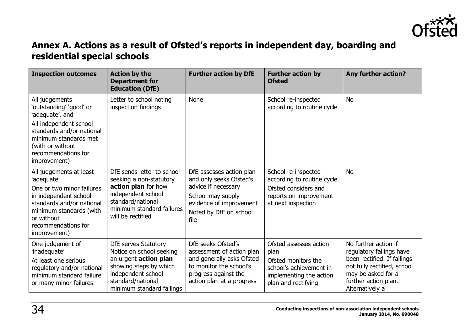

# **Annex A. Actions as a result of Ofsted's reports in independent day, boarding and residential special schools**

<span id="page-33-0"></span>

| <b>Inspection outcomes</b>                                                                                                                                                                               | <b>Action by the</b><br><b>Department for</b><br><b>Education (DfE)</b>                                                                                                            | <b>Further action by DfE</b>                                                                                                                                 | <b>Further action by</b><br><b>Ofsted</b>                                                                                          | <b>Any further action?</b>                                                                                                                                                      |
|----------------------------------------------------------------------------------------------------------------------------------------------------------------------------------------------------------|------------------------------------------------------------------------------------------------------------------------------------------------------------------------------------|--------------------------------------------------------------------------------------------------------------------------------------------------------------|------------------------------------------------------------------------------------------------------------------------------------|---------------------------------------------------------------------------------------------------------------------------------------------------------------------------------|
| All judgements<br>'outstanding' 'good' or<br>'adequate', and<br>All independent school<br>standards and/or national<br>minimum standards met<br>(with or without<br>recommendations for<br>improvement)  | Letter to school noting<br>inspection findings                                                                                                                                     | <b>None</b>                                                                                                                                                  | School re-inspected<br>according to routine cycle                                                                                  | <b>No</b>                                                                                                                                                                       |
| All judgements at least<br>'adequate'<br>One or two minor failures<br>in independent school<br>standards and/or national<br>minimum standards (with<br>or without<br>recommendations for<br>improvement) | DfE sends letter to school<br>seeking a non-statutory<br>action plan for how<br>independent school<br>standard/national<br>minimum standard failures<br>will be rectified          | DfE assesses action plan<br>and only seeks Ofsted's<br>advice if necessary<br>School may supply<br>evidence of improvement<br>Noted by DfE on school<br>file | School re-inspected<br>according to routine cycle<br>Ofsted considers and<br>reports on improvement<br>at next inspection          | <b>No</b>                                                                                                                                                                       |
| One judgement of<br>'inadequate'<br>At least one serious<br>regulatory and/or national<br>minimum standard failure<br>or many minor failures                                                             | <b>DfE</b> serves Statutory<br>Notice on school seeking<br>an urgent action plan<br>showing steps by which<br>independent school<br>standard/national<br>minimum standard failings | DfE seeks Ofsted's<br>assessment of action plan<br>and generally asks Ofsted<br>to monitor the school's<br>progress against the<br>action plan at a progress | Ofsted assesses action<br>plan<br>Ofsted monitors the<br>school's achievement in<br>implementing the action<br>plan and rectifying | No further action if<br>regulatory failings have<br>been rectified. If failings<br>not fully rectified, school<br>may be asked for a<br>further action plan.<br>Alternatively a |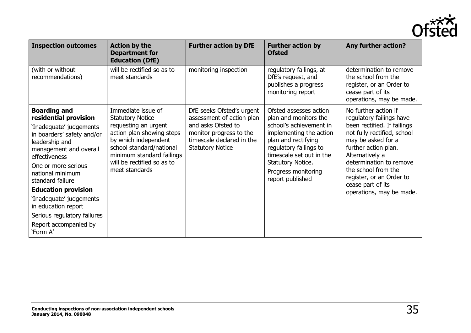

| <b>Inspection outcomes</b>                                                                                                                                                                                                                                                                                                                                                            | <b>Action by the</b><br><b>Department for</b><br><b>Education (DfE)</b>                                                                                                                                                             | <b>Further action by DfE</b>                                                                                                                                    | <b>Further action by</b><br><b>Ofsted</b>                                                                                                                                                                                                          | <b>Any further action?</b>                                                                                                                                                                                                                                                                                     |
|---------------------------------------------------------------------------------------------------------------------------------------------------------------------------------------------------------------------------------------------------------------------------------------------------------------------------------------------------------------------------------------|-------------------------------------------------------------------------------------------------------------------------------------------------------------------------------------------------------------------------------------|-----------------------------------------------------------------------------------------------------------------------------------------------------------------|----------------------------------------------------------------------------------------------------------------------------------------------------------------------------------------------------------------------------------------------------|----------------------------------------------------------------------------------------------------------------------------------------------------------------------------------------------------------------------------------------------------------------------------------------------------------------|
| (with or without<br>recommendations)                                                                                                                                                                                                                                                                                                                                                  | will be rectified so as to<br>meet standards                                                                                                                                                                                        | monitoring inspection                                                                                                                                           | regulatory failings, at<br>DfE's request, and<br>publishes a progress<br>monitoring report                                                                                                                                                         | determination to remove<br>the school from the<br>register, or an Order to<br>cease part of its<br>operations, may be made.                                                                                                                                                                                    |
| <b>Boarding and</b><br>residential provision<br>'Inadequate' judgements<br>in boarders' safety and/or<br>leadership and<br>management and overall<br>effectiveness<br>One or more serious<br>national minimum<br>standard failure<br><b>Education provision</b><br>'Inadequate' judgements<br>in education report<br>Serious regulatory failures<br>Report accompanied by<br>'Form A' | Immediate issue of<br><b>Statutory Notice</b><br>requesting an urgent<br>action plan showing steps<br>by which independent<br>school standard/national<br>minimum standard failings<br>will be rectified so as to<br>meet standards | DfE seeks Ofsted's urgent<br>assessment of action plan<br>and asks Ofsted to<br>monitor progress to the<br>timescale declared in the<br><b>Statutory Notice</b> | Ofsted assesses action<br>plan and monitors the<br>school's achievement in<br>implementing the action<br>plan and rectifying<br>regulatory failings to<br>timescale set out in the<br>Statutory Notice.<br>Progress monitoring<br>report published | No further action if<br>regulatory failings have<br>been rectified. If failings<br>not fully rectified, school<br>may be asked for a<br>further action plan.<br>Alternatively a<br>determination to remove<br>the school from the<br>register, or an Order to<br>cease part of its<br>operations, may be made. |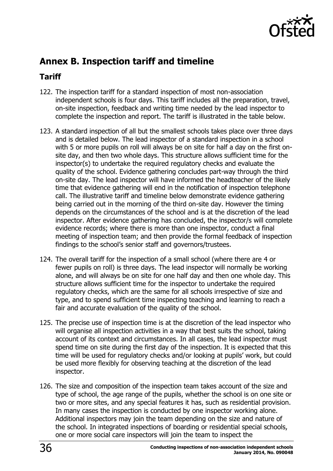

# <span id="page-35-0"></span>**Annex B. Inspection tariff and timeline**

### <span id="page-35-1"></span>**Tariff**

- 122. The inspection tariff for a standard inspection of most non-association independent schools is four days. This tariff includes all the preparation, travel, on-site inspection, feedback and writing time needed by the lead inspector to complete the inspection and report. The tariff is illustrated in the table below.
- 123. A standard inspection of all but the smallest schools takes place over three days and is detailed below. The lead inspector of a standard inspection in a school with 5 or more pupils on roll will always be on site for half a day on the first onsite day, and then two whole days. This structure allows sufficient time for the inspector(s) to undertake the required regulatory checks and evaluate the quality of the school. Evidence gathering concludes part-way through the third on-site day. The lead inspector will have informed the headteacher of the likely time that evidence gathering will end in the notification of inspection telephone call. The illustrative tariff and timeline below demonstrate evidence gathering being carried out in the morning of the third on-site day. However the timing depends on the circumstances of the school and is at the discretion of the lead inspector. After evidence gathering has concluded, the inspector/s will complete evidence records; where there is more than one inspector, conduct a final meeting of inspection team; and then provide the formal feedback of inspection findings to the school's senior staff and governors/trustees.
- 124. The overall tariff for the inspection of a small school (where there are 4 or fewer pupils on roll) is three days. The lead inspector will normally be working alone, and will always be on site for one half day and then one whole day. This structure allows sufficient time for the inspector to undertake the required regulatory checks, which are the same for all schools irrespective of size and type, and to spend sufficient time inspecting teaching and learning to reach a fair and accurate evaluation of the quality of the school.
- 125. The precise use of inspection time is at the discretion of the lead inspector who will organise all inspection activities in a way that best suits the school, taking account of its context and circumstances. In all cases, the lead inspector must spend time on site during the first day of the inspection. It is expected that this time will be used for regulatory checks and/or looking at pupils' work, but could be used more flexibly for observing teaching at the discretion of the lead inspector.
- 126. The size and composition of the inspection team takes account of the size and type of school, the age range of the pupils, whether the school is on one site or two or more sites, and any special features it has, such as residential provision. In many cases the inspection is conducted by one inspector working alone. Additional inspectors may join the team depending on the size and nature of the school. In integrated inspections of boarding or residential special schools, one or more social care inspectors will join the team to inspect the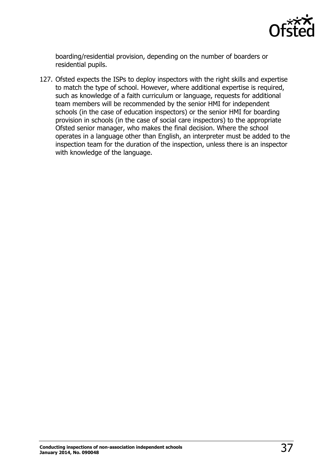

boarding/residential provision, depending on the number of boarders or residential pupils.

127. Ofsted expects the ISPs to deploy inspectors with the right skills and expertise to match the type of school. However, where additional expertise is required, such as knowledge of a faith curriculum or language, requests for additional team members will be recommended by the senior HMI for independent schools (in the case of education inspectors) or the senior HMI for boarding provision in schools (in the case of social care inspectors) to the appropriate Ofsted senior manager, who makes the final decision. Where the school operates in a language other than English, an interpreter must be added to the inspection team for the duration of the inspection, unless there is an inspector with knowledge of the language.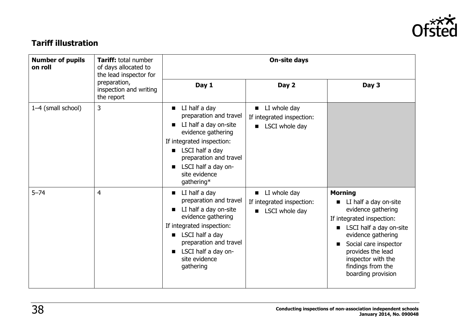

# **Tariff illustration**

<span id="page-37-0"></span>

| <b>Number of pupils</b><br>on roll<br>preparation,<br>the report | <b>Tariff:</b> total number<br>of days allocated to<br>the lead inspector for |                                                                                                                                                                                                                                               | <b>On-site days</b>                                                                    |                                                                                                                                                                                                                                                              |
|------------------------------------------------------------------|-------------------------------------------------------------------------------|-----------------------------------------------------------------------------------------------------------------------------------------------------------------------------------------------------------------------------------------------|----------------------------------------------------------------------------------------|--------------------------------------------------------------------------------------------------------------------------------------------------------------------------------------------------------------------------------------------------------------|
|                                                                  | inspection and writing                                                        | Day 1                                                                                                                                                                                                                                         | Day 2                                                                                  | Day 3                                                                                                                                                                                                                                                        |
| 1-4 (small school)                                               | 3                                                                             | LI half a day<br>$\blacksquare$<br>preparation and travel<br>LI half a day on-site<br>evidence gathering<br>If integrated inspection:<br>LSCI half a day<br>■<br>preparation and travel<br>LSCI half a day on-<br>site evidence<br>gathering* | LI whole day<br>$\blacksquare$<br>If integrated inspection:<br><b>E</b> LSCI whole day |                                                                                                                                                                                                                                                              |
| $5 - 74$                                                         | $\overline{4}$                                                                | LI half a day<br>$\blacksquare$<br>preparation and travel<br>LI half a day on-site<br>evidence gathering<br>If integrated inspection:<br>LSCI half a day<br>■<br>preparation and travel<br>LSCI half a day on-<br>site evidence<br>gathering  | LI whole day<br>$\blacksquare$<br>If integrated inspection:<br>LSCI whole day          | <b>Morning</b><br>■ LI half a day on-site<br>evidence gathering<br>If integrated inspection:<br>LSCI half a day on-site<br>evidence gathering<br>Social care inspector<br>provides the lead<br>inspector with the<br>findings from the<br>boarding provision |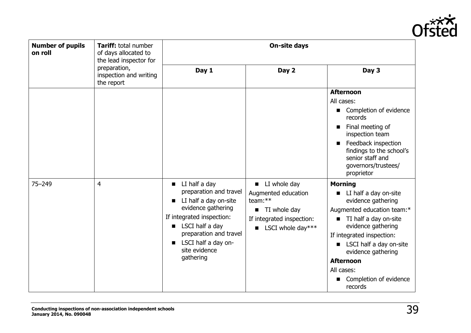

| <b>Number of pupils</b><br>on roll | Tariff: total number<br>of days allocated to<br>the lead inspector for |                                                   | <b>On-site days</b>                             |                                                                                                               |
|------------------------------------|------------------------------------------------------------------------|---------------------------------------------------|-------------------------------------------------|---------------------------------------------------------------------------------------------------------------|
|                                    | preparation,<br>inspection and writing<br>the report                   | Day 1                                             | Day 2                                           | Day 3                                                                                                         |
|                                    |                                                                        |                                                   |                                                 | <b>Afternoon</b>                                                                                              |
|                                    |                                                                        |                                                   |                                                 | All cases:                                                                                                    |
|                                    |                                                                        |                                                   |                                                 | Completion of evidence<br>■<br>records<br>Final meeting of                                                    |
|                                    |                                                                        |                                                   |                                                 | inspection team                                                                                               |
|                                    |                                                                        |                                                   |                                                 | Feedback inspection<br>п<br>findings to the school's<br>senior staff and<br>governors/trustees/<br>proprietor |
| $75 - 249$                         | $\overline{4}$                                                         | $\blacksquare$ LI half a day                      | $\blacksquare$ LI whole day                     | <b>Morning</b>                                                                                                |
|                                    |                                                                        | preparation and travel<br>LI half a day on-site   | Augmented education<br>team:**                  | LI half a day on-site<br>п.<br>evidence gathering                                                             |
|                                    |                                                                        | evidence gathering                                | $\blacksquare$ TI whole day                     | Augmented education team:*                                                                                    |
|                                    |                                                                        | If integrated inspection:<br>LSCI half a day<br>п | If integrated inspection:<br>LSCI whole day***  | TI half a day on-site<br>п<br>evidence gathering                                                              |
|                                    |                                                                        | preparation and travel                            |                                                 | If integrated inspection:                                                                                     |
|                                    | LSCI half a day on-<br>site evidence                                   |                                                   | ■ LSCI half a day on-site<br>evidence gathering |                                                                                                               |
|                                    |                                                                        | gathering                                         |                                                 | <b>Afternoon</b>                                                                                              |
|                                    |                                                                        |                                                   |                                                 | All cases:                                                                                                    |
|                                    |                                                                        |                                                   |                                                 | Completion of evidence<br>records                                                                             |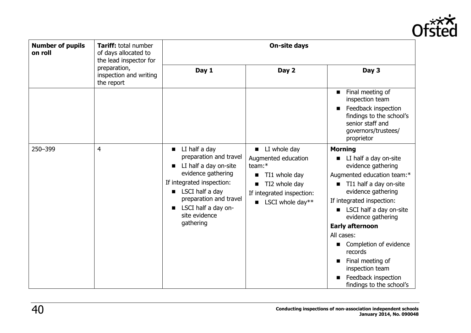

| <b>Number of pupils</b><br>on roll | <b>Tariff:</b> total number<br>of days allocated to<br>the lead inspector for |                                                                                                                                                                                                                                                        | <b>On-site days</b>                                                                                                                                          |                                                                                                                                                                                                                                                                                                                                                                                                  |
|------------------------------------|-------------------------------------------------------------------------------|--------------------------------------------------------------------------------------------------------------------------------------------------------------------------------------------------------------------------------------------------------|--------------------------------------------------------------------------------------------------------------------------------------------------------------|--------------------------------------------------------------------------------------------------------------------------------------------------------------------------------------------------------------------------------------------------------------------------------------------------------------------------------------------------------------------------------------------------|
|                                    | preparation,<br>inspection and writing<br>the report                          | Day 1                                                                                                                                                                                                                                                  | Day 2                                                                                                                                                        | Day 3                                                                                                                                                                                                                                                                                                                                                                                            |
|                                    |                                                                               |                                                                                                                                                                                                                                                        |                                                                                                                                                              | Final meeting of<br>inspection team<br>Feedback inspection<br>findings to the school's<br>senior staff and<br>governors/trustees/<br>proprietor                                                                                                                                                                                                                                                  |
| 250-399                            | $\overline{4}$                                                                | LI half a day<br>$\blacksquare$<br>preparation and travel<br>LI half a day on-site<br>■<br>evidence gathering<br>If integrated inspection:<br>LSCI half a day<br>п<br>preparation and travel<br>LSCI half a day on-<br>■<br>site evidence<br>gathering | LI whole day<br>$\blacksquare$<br>Augmented education<br>team:*<br>TI1 whole day<br>■<br>TI2 whole day<br>If integrated inspection:<br>LSCI whole day**<br>п | <b>Morning</b><br>LI half a day on-site<br>evidence gathering<br>Augmented education team:*<br>TI1 half a day on-site<br>evidence gathering<br>If integrated inspection:<br>LSCI half a day on-site<br>evidence gathering<br><b>Early afternoon</b><br>All cases:<br>Completion of evidence<br>records<br>Final meeting of<br>inspection team<br>Feedback inspection<br>findings to the school's |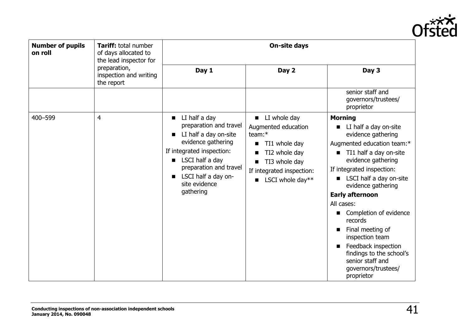

| <b>Number of pupils</b><br>on roll | <b>Tariff:</b> total number<br>of days allocated to<br>the lead inspector for |                                                                                                                                                                                                                                                     | <b>On-site days</b>                                                                                                                                       |                                                                                                                                                                                                                                                                                                                                                                                                                                                           |
|------------------------------------|-------------------------------------------------------------------------------|-----------------------------------------------------------------------------------------------------------------------------------------------------------------------------------------------------------------------------------------------------|-----------------------------------------------------------------------------------------------------------------------------------------------------------|-----------------------------------------------------------------------------------------------------------------------------------------------------------------------------------------------------------------------------------------------------------------------------------------------------------------------------------------------------------------------------------------------------------------------------------------------------------|
|                                    | preparation,<br>inspection and writing<br>the report                          | Day 1                                                                                                                                                                                                                                               | Day 2                                                                                                                                                     | Day 3                                                                                                                                                                                                                                                                                                                                                                                                                                                     |
|                                    |                                                                               |                                                                                                                                                                                                                                                     |                                                                                                                                                           | senior staff and<br>governors/trustees/<br>proprietor                                                                                                                                                                                                                                                                                                                                                                                                     |
| 400-599                            | $\overline{4}$                                                                | LI half a day<br>$\mathbf{r}$<br>preparation and travel<br>LI half a day on-site<br>п<br>evidence gathering<br>If integrated inspection:<br><b>E</b> LSCI half a day<br>preparation and travel<br>LSCI half a day on-<br>site evidence<br>gathering | LI whole day<br>Augmented education<br>team: $*$<br>TI1 whole day<br>TI2 whole day<br>TI3 whole day<br>If integrated inspection:<br>LSCI whole day**<br>п | <b>Morning</b><br>LI half a day on-site<br>evidence gathering<br>Augmented education team:*<br>TI1 half a day on-site<br>evidence gathering<br>If integrated inspection:<br>LSCI half a day on-site<br>evidence gathering<br><b>Early afternoon</b><br>All cases:<br>Completion of evidence<br>records<br>Final meeting of<br>inspection team<br>Feedback inspection<br>findings to the school's<br>senior staff and<br>governors/trustees/<br>proprietor |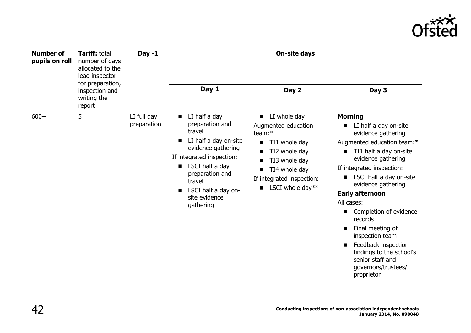

| <b>Number of</b><br>pupils on roll | <b>Tariff: total</b><br>number of days<br>allocated to the<br>lead inspector<br>for preparation, | $Day -1$                   |                                                                                                                                                                                                                                               | <b>On-site days</b>                                                                                                                                                                                     |                                                                                                                                                                                                                                                                                                                                                                                                                                                                                                       |
|------------------------------------|--------------------------------------------------------------------------------------------------|----------------------------|-----------------------------------------------------------------------------------------------------------------------------------------------------------------------------------------------------------------------------------------------|---------------------------------------------------------------------------------------------------------------------------------------------------------------------------------------------------------|-------------------------------------------------------------------------------------------------------------------------------------------------------------------------------------------------------------------------------------------------------------------------------------------------------------------------------------------------------------------------------------------------------------------------------------------------------------------------------------------------------|
|                                    | inspection and<br>writing the<br>report                                                          |                            | Day 1                                                                                                                                                                                                                                         | Day 2                                                                                                                                                                                                   | Day 3                                                                                                                                                                                                                                                                                                                                                                                                                                                                                                 |
| $600+$                             | 5                                                                                                | LI full day<br>preparation | LI half a day<br>$\blacksquare$<br>preparation and<br>travel<br>LI half a day on-site<br>evidence gathering<br>If integrated inspection:<br>LSCI half a day<br>preparation and<br>travel<br>LSCI half a day on-<br>site evidence<br>gathering | LI whole day<br>$\blacksquare$<br>Augmented education<br>team:*<br>TI1 whole day<br>TI2 whole day<br>TI3 whole day<br>■<br>TI4 whole day<br>■<br>If integrated inspection:<br><b>E</b> LSCI whole day** | <b>Morning</b><br>■ LI half a day on-site<br>evidence gathering<br>Augmented education team:*<br>■ TI1 half a day on-site<br>evidence gathering<br>If integrated inspection:<br>■ LSCI half a day on-site<br>evidence gathering<br><b>Early afternoon</b><br>All cases:<br>■ Completion of evidence<br>records<br>Final meeting of<br>$\blacksquare$<br>inspection team<br>Feedback inspection<br>$\blacksquare$<br>findings to the school's<br>senior staff and<br>governors/trustees/<br>proprietor |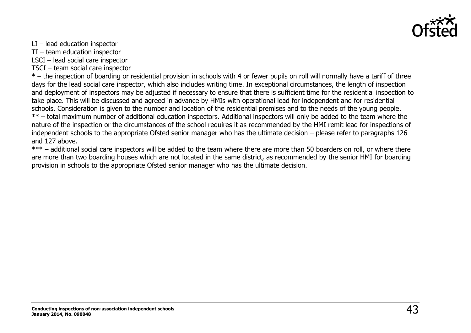

- LI lead education inspector
- TI team education inspector
- LSCI lead social care inspector
- TSCI team social care inspector

\* – the inspection of boarding or residential provision in schools with 4 or fewer pupils on roll will normally have a tariff of three days for the lead social care inspector, which also includes writing time. In exceptional circumstances, the length of inspection and deployment of inspectors may be adjusted if necessary to ensure that there is sufficient time for the residential inspection to take place. This will be discussed and agreed in advance by HMIs with operational lead for independent and for residential schools. Consideration is given to the number and location of the residential premises and to the needs of the young people. \*\* – total maximum number of additional education inspectors. Additional inspectors will only be added to the team where the nature of the inspection or the circumstances of the school requires it as recommended by the HMI remit lead for inspections of independent schools to the appropriate Ofsted senior manager who has the ultimate decision – please refer to paragraphs 126 and 127 above.

\*\*\* – additional social care inspectors will be added to the team where there are more than 50 boarders on roll, or where there are more than two boarding houses which are not located in the same district, as recommended by the senior HMI for boarding provision in schools to the appropriate Ofsted senior manager who has the ultimate decision.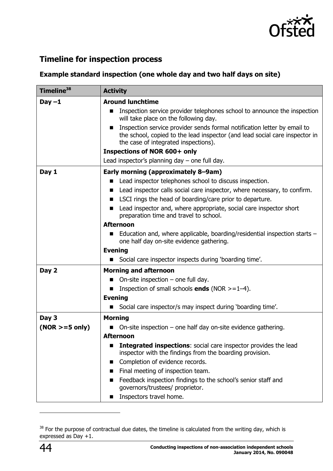

### <span id="page-43-0"></span>**Timeline for inspection process**

#### **Example standard inspection (one whole day and two half days on site)**

| Timeline <sup>38</sup> | <b>Activity</b>                                                                                                                                                                                                   |
|------------------------|-------------------------------------------------------------------------------------------------------------------------------------------------------------------------------------------------------------------|
| $Day -1$               | <b>Around lunchtime</b>                                                                                                                                                                                           |
|                        | Inspection service provider telephones school to announce the inspection<br>$\blacksquare$<br>will take place on the following day.                                                                               |
|                        | Inspection service provider sends formal notification letter by email to<br>$\blacksquare$<br>the school, copied to the lead inspector (and lead social care inspector in<br>the case of integrated inspections). |
|                        | <b>Inspections of NOR 600+ only</b>                                                                                                                                                                               |
|                        | Lead inspector's planning day $-$ one full day.                                                                                                                                                                   |
| Day 1                  | Early morning (approximately 8-9am)                                                                                                                                                                               |
|                        | Lead inspector telephones school to discuss inspection.<br>$\blacksquare$                                                                                                                                         |
|                        | Lead inspector calls social care inspector, where necessary, to confirm.                                                                                                                                          |
|                        | LSCI rings the head of boarding/care prior to departure.<br>$\blacksquare$                                                                                                                                        |
|                        | Lead inspector and, where appropriate, social care inspector short<br>$\blacksquare$<br>preparation time and travel to school.                                                                                    |
|                        | <b>Afternoon</b>                                                                                                                                                                                                  |
|                        | Education and, where applicable, boarding/residential inspection starts $-$<br>$\mathbf{r}$<br>one half day on-site evidence gathering.                                                                           |
|                        | <b>Evening</b>                                                                                                                                                                                                    |
|                        | Social care inspector inspects during 'boarding time'.                                                                                                                                                            |
| Day 2                  | <b>Morning and afternoon</b>                                                                                                                                                                                      |
|                        | On-site inspection $-$ one full day.<br>$\blacksquare$                                                                                                                                                            |
|                        | Inspection of small schools <b>ends</b> (NOR $> = 1-4$ ).<br>п                                                                                                                                                    |
|                        | <b>Evening</b>                                                                                                                                                                                                    |
|                        | Social care inspector/s may inspect during 'boarding time'.                                                                                                                                                       |
| Day 3                  | <b>Morning</b>                                                                                                                                                                                                    |
| $(NOR > = 5$ only)     | On-site inspection $-$ one half day on-site evidence gathering.                                                                                                                                                   |
|                        | <b>Afternoon</b>                                                                                                                                                                                                  |
|                        | <b>Integrated inspections:</b> social care inspector provides the lead<br>$\blacksquare$                                                                                                                          |
|                        | inspector with the findings from the boarding provision.                                                                                                                                                          |
|                        | Completion of evidence records.                                                                                                                                                                                   |
|                        | Final meeting of inspection team.                                                                                                                                                                                 |
|                        | Feedback inspection findings to the school's senior staff and<br>governors/trustees/ proprietor.                                                                                                                  |
|                        | Inspectors travel home.                                                                                                                                                                                           |

<sup>&</sup>lt;sup>38</sup> For the purpose of contractual due dates, the timeline is calculated from the writing day, which is expressed as Day +1.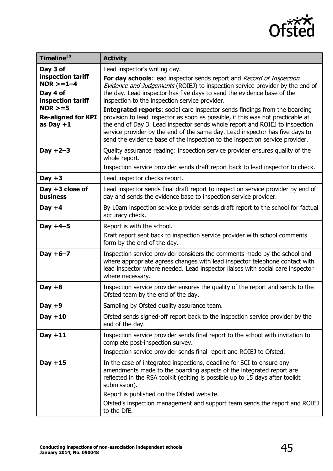

| Timeline <sup>38</sup>                                                                                                                       | <b>Activity</b>                                                                                                                                                                                                                                                                                                                                                                                                                                                                                                                                                                  |
|----------------------------------------------------------------------------------------------------------------------------------------------|----------------------------------------------------------------------------------------------------------------------------------------------------------------------------------------------------------------------------------------------------------------------------------------------------------------------------------------------------------------------------------------------------------------------------------------------------------------------------------------------------------------------------------------------------------------------------------|
| Day 3 of<br>inspection tariff<br>$NOR > = 1 - 4$<br>Day 4 of<br>inspection tariff<br>$NOR > = 5$<br><b>Re-aligned for KPI</b><br>as Day $+1$ | Lead inspector's writing day.<br>For day schools: lead inspector sends report and Record of Inspection<br><i>Evidence and Judgements</i> (ROIEJ) to inspection service provider by the end of<br>the day. Lead inspector has five days to send the evidence base of the<br>inspection to the inspection service provider.<br><b>Integrated reports:</b> social care inspector sends findings from the boarding<br>provision to lead inspector as soon as possible, if this was not practicable at<br>the end of Day 3. Lead inspector sends whole report and ROIEJ to inspection |
|                                                                                                                                              | service provider by the end of the same day. Lead inspector has five days to<br>send the evidence base of the inspection to the inspection service provider.                                                                                                                                                                                                                                                                                                                                                                                                                     |
| Day $+2-3$                                                                                                                                   | Quality assurance reading: inspection service provider ensures quality of the<br>whole report.<br>Inspection service provider sends draft report back to lead inspector to check.                                                                                                                                                                                                                                                                                                                                                                                                |
| Day $+3$                                                                                                                                     | Lead inspector checks report.                                                                                                                                                                                                                                                                                                                                                                                                                                                                                                                                                    |
| Day $+3$ close of<br><b>business</b>                                                                                                         | Lead inspector sends final draft report to inspection service provider by end of<br>day and sends the evidence base to inspection service provider.                                                                                                                                                                                                                                                                                                                                                                                                                              |
| Day $+4$                                                                                                                                     | By 10am inspection service provider sends draft report to the school for factual<br>accuracy check.                                                                                                                                                                                                                                                                                                                                                                                                                                                                              |
| Day $+4-5$                                                                                                                                   | Report is with the school.<br>Draft report sent back to inspection service provider with school comments                                                                                                                                                                                                                                                                                                                                                                                                                                                                         |
|                                                                                                                                              | form by the end of the day.                                                                                                                                                                                                                                                                                                                                                                                                                                                                                                                                                      |
| Day $+6-7$                                                                                                                                   | Inspection service provider considers the comments made by the school and<br>where appropriate agrees changes with lead inspector telephone contact with<br>lead inspector where needed. Lead inspector liaises with social care inspector<br>where necessary.                                                                                                                                                                                                                                                                                                                   |
| Day $+8$                                                                                                                                     | Inspection service provider ensures the quality of the report and sends to the<br>Ofsted team by the end of the day.                                                                                                                                                                                                                                                                                                                                                                                                                                                             |
| Day $+9$                                                                                                                                     | Sampling by Ofsted quality assurance team.                                                                                                                                                                                                                                                                                                                                                                                                                                                                                                                                       |
| $Day + 10$                                                                                                                                   | Ofsted sends signed-off report back to the inspection service provider by the<br>end of the day.                                                                                                                                                                                                                                                                                                                                                                                                                                                                                 |
| $Day + 11$                                                                                                                                   | Inspection service provider sends final report to the school with invitation to<br>complete post-inspection survey.                                                                                                                                                                                                                                                                                                                                                                                                                                                              |
|                                                                                                                                              | Inspection service provider sends final report and ROIEJ to Ofsted.                                                                                                                                                                                                                                                                                                                                                                                                                                                                                                              |
| $Day +15$                                                                                                                                    | In the case of integrated inspections, deadline for SCI to ensure any<br>amendments made to the boarding aspects of the integrated report are<br>reflected in the RSA toolkit (editing is possible up to 15 days after toolkit<br>submission).                                                                                                                                                                                                                                                                                                                                   |
|                                                                                                                                              | Report is published on the Ofsted website.                                                                                                                                                                                                                                                                                                                                                                                                                                                                                                                                       |
|                                                                                                                                              | Ofsted's inspection management and support team sends the report and ROIEJ<br>to the DfE.                                                                                                                                                                                                                                                                                                                                                                                                                                                                                        |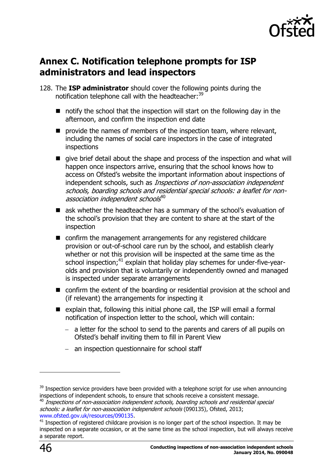

# <span id="page-45-0"></span>**Annex C. Notification telephone prompts for ISP administrators and lead inspectors**

- 128. The **ISP administrator** should cover the following points during the notification telephone call with the headteacher: $39$ 
	- notify the school that the inspection will start on the following day in the afternoon, and confirm the inspection end date
	- $\blacksquare$  provide the names of members of the inspection team, where relevant, including the names of social care inspectors in the case of integrated inspections
	- qive brief detail about the shape and process of the inspection and what will happen once inspectors arrive, ensuring that the school knows how to access on Ofsted's website the important information about inspections of independent schools, such as *Inspections of non-association independent* schools, boarding schools and residential special schools: a leaflet for nonassociation independent schools<sup>40</sup>
	- ask whether the headteacher has a summary of the school's evaluation of the school's provision that they are content to share at the start of the inspection
	- confirm the management arrangements for any registered childcare provision or out-of-school care run by the school, and establish clearly whether or not this provision will be inspected at the same time as the school inspection: $41$  explain that holiday play schemes for under-five-yearolds and provision that is voluntarily or independently owned and managed is inspected under separate arrangements
	- confirm the extent of the boarding or residential provision at the school and (if relevant) the arrangements for inspecting it
	- $\blacksquare$  explain that, following this initial phone call, the ISP will email a formal notification of inspection letter to the school, which will contain:
		- a letter for the school to send to the parents and carers of all pupils on Ofsted's behalf inviting them to fill in Parent View
		- an inspection questionnaire for school staff

 $\overline{a}$ 

<sup>&</sup>lt;sup>39</sup> Inspection service providers have been provided with a telephone script for use when announcing inspections of independent schools, to ensure that schools receive a consistent message.

 $40$  Inspections of non-association independent schools, boarding schools and residential special schools: a leaflet for non-association independent schools (090135), Ofsted, 2013; [www.ofsted.gov.uk/resources/090135.](http://www.ofsted.gov.uk/resources/090135)

<sup>41</sup> Inspection of registered childcare provision is no longer part of the school inspection. It may be inspected on a separate occasion, or at the same time as the school inspection, but will always receive a separate report.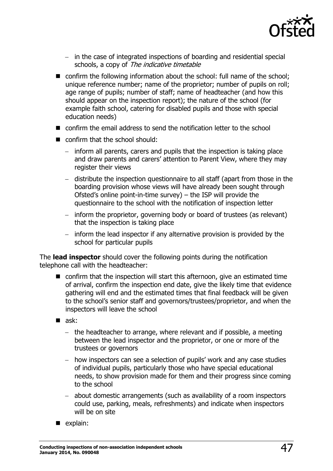

- in the case of integrated inspections of boarding and residential special schools, a copy of The indicative timetable
- confirm the following information about the school: full name of the school; unique reference number; name of the proprietor; number of pupils on roll; age range of pupils; number of staff; name of headteacher (and how this should appear on the inspection report); the nature of the school (for example faith school, catering for disabled pupils and those with special education needs)
- confirm the email address to send the notification letter to the school
- confirm that the school should:
	- $-$  inform all parents, carers and pupils that the inspection is taking place and draw parents and carers' attention to Parent View, where they may register their views
	- distribute the inspection questionnaire to all staff (apart from those in the boarding provision whose views will have already been sought through Ofsted's online point-in-time survey) – the ISP will provide the questionnaire to the school with the notification of inspection letter
	- inform the proprietor, governing body or board of trustees (as relevant) that the inspection is taking place
	- $-$  inform the lead inspector if any alternative provision is provided by the school for particular pupils

The **lead inspector** should cover the following points during the notification telephone call with the headteacher:

- confirm that the inspection will start this afternoon, give an estimated time of arrival, confirm the inspection end date, give the likely time that evidence gathering will end and the estimated times that final feedback will be given to the school's senior staff and governors/trustees/proprietor, and when the inspectors will leave the school
- $\blacksquare$  ask:
	- $-$  the headteacher to arrange, where relevant and if possible, a meeting between the lead inspector and the proprietor, or one or more of the trustees or governors
	- how inspectors can see a selection of pupils' work and any case studies of individual pupils, particularly those who have special educational needs, to show provision made for them and their progress since coming to the school
	- about domestic arrangements (such as availability of a room inspectors could use, parking, meals, refreshments) and indicate when inspectors will be on site
- explain: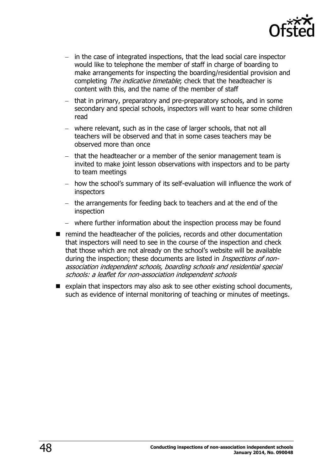

- $\overline{a}$  in the case of integrated inspections, that the lead social care inspector would like to telephone the member of staff in charge of boarding to make arrangements for inspecting the boarding/residential provision and completing *The indicative timetable*; check that the headteacher is content with this, and the name of the member of staff
- that in primary, preparatory and pre-preparatory schools, and in some secondary and special schools, inspectors will want to hear some children read
- where relevant, such as in the case of larger schools, that not all teachers will be observed and that in some cases teachers may be observed more than once
- that the headteacher or a member of the senior management team is invited to make joint lesson observations with inspectors and to be party to team meetings
- how the school's summary of its self-evaluation will influence the work of inspectors
- $-$  the arrangements for feeding back to teachers and at the end of the inspection
- where further information about the inspection process may be found
- $\blacksquare$  remind the headteacher of the policies, records and other documentation that inspectors will need to see in the course of the inspection and check that those which are not already on the school's website will be available during the inspection; these documents are listed in *Inspections of non*association independent schools, boarding schools and residential special schools: a leaflet for non-association independent schools
- $\blacksquare$  explain that inspectors may also ask to see other existing school documents, such as evidence of internal monitoring of teaching or minutes of meetings.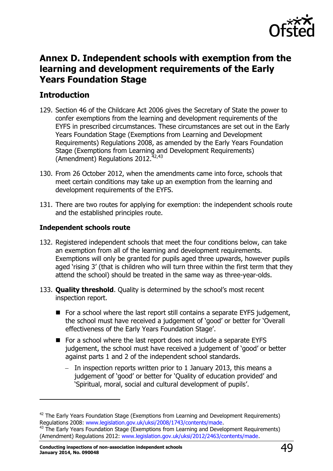

# <span id="page-48-0"></span>**Annex D. Independent schools with exemption from the learning and development requirements of the Early Years Foundation Stage**

### <span id="page-48-1"></span>**Introduction**

- 129. Section 46 of the Childcare Act 2006 gives the Secretary of State the power to confer exemptions from the learning and development requirements of the EYFS in prescribed circumstances. These circumstances are set out in the Early Years Foundation Stage (Exemptions from Learning and Development Requirements) Regulations 2008, as amended by the Early Years Foundation Stage (Exemptions from Learning and Development Requirements) (Amendment) Regulations  $2012.<sup>42,43</sup>$
- 130. From 26 October 2012, when the amendments came into force, schools that meet certain conditions may take up an exemption from the learning and development requirements of the EYFS.
- 131. There are two routes for applying for exemption: the independent schools route and the established principles route.

#### **Independent schools route**

- 132. Registered independent schools that meet the four conditions below, can take an exemption from all of the learning and development requirements. Exemptions will only be granted for pupils aged three upwards, however pupils aged 'rising 3' (that is children who will turn three within the first term that they attend the school) should be treated in the same way as three-year-olds.
- 133. **Quality threshold**. Quality is determined by the school's most recent inspection report.
	- For a school where the last report still contains a separate EYFS judgement, the school must have received a judgement of 'good' or better for 'Overall effectiveness of the Early Years Foundation Stage'.
	- For a school where the last report does not include a separate EYFS judgement, the school must have received a judgement of 'good' or better against parts 1 and 2 of the independent school standards.
		- $-$  In inspection reports written prior to 1 January 2013, this means a judgement of 'good' or better for 'Quality of education provided' and 'Spiritual, moral, social and cultural development of pupils'.

 $42$  The Early Years Foundation Stage (Exemptions from Learning and Development Requirements) Regulations 2008: [www.legislation.gov.uk/uksi/2008/1743/contents/made.](http://www.legislation.gov.uk/uksi/2008/1743/contents/made)

 $43$  The Early Years Foundation Stage (Exemptions from Learning and Development Requirements) (Amendment) Regulations 2012: [www.legislation.gov.uk/uksi/2012/2463/contents/made.](http://www.legislation.gov.uk/uksi/2012/2463/contents/made)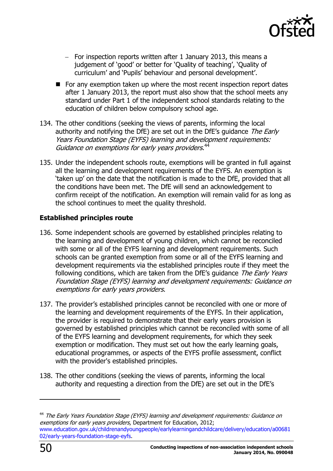

- $-$  For inspection reports written after 1 January 2013, this means a judgement of 'good' or better for 'Quality of teaching', 'Quality of curriculum' and 'Pupils' behaviour and personal development'.
- For any exemption taken up where the most recent inspection report dates after 1 January 2013, the report must also show that the school meets any standard under Part 1 of the independent school standards relating to the education of children below compulsory school age.
- 134. The other conditions (seeking the views of parents, informing the local authority and notifying the DfE) are set out in the DfE's guidance The Early Years Foundation Stage (EYFS) learning and development requirements: Guidance on exemptions for early years providers.<sup>44</sup>
- 135. Under the independent schools route, exemptions will be granted in full against all the learning and development requirements of the EYFS. An exemption is 'taken up' on the date that the notification is made to the DfE, provided that all the conditions have been met. The DfE will send an acknowledgement to confirm receipt of the notification. An exemption will remain valid for as long as the school continues to meet the quality threshold.

#### **Established principles route**

- 136. Some independent schools are governed by established principles relating to the learning and development of young children, which cannot be reconciled with some or all of the EYFS learning and development requirements. Such schools can be granted exemption from some or all of the EYFS learning and development requirements via the established principles route if they meet the following conditions, which are taken from the DfE's guidance The Early Years Foundation Stage (EYFS) learning and development requirements: Guidance on exemptions for early years providers.
- 137. The provider's established principles cannot be reconciled with one or more of the learning and development requirements of the EYFS. In their application, the provider is required to demonstrate that their early years provision is governed by established principles which cannot be reconciled with some of all of the EYFS learning and development requirements, for which they seek exemption or modification. They must set out how the early learning goals, educational programmes, or aspects of the EYFS profile assessment, conflict with the provider's established principles.
- 138. The other conditions (seeking the views of parents, informing the local authority and requesting a direction from the DfE) are set out in the DfE's



<sup>&</sup>lt;sup>44</sup> The Early Years Foundation Stage (EYFS) learning and development requirements: Guidance on exemptions for early years providers, Department for Education, 2012; [www.education.gov.uk/childrenandyoungpeople/earlylearningandchildcare/delivery/education/a00681](http://www.education.gov.uk/childrenandyoungpeople/earlylearningandchildcare/delivery/education/a0068102/early-years-foundation-stage-eyfs) [02/early-years-foundation-stage-eyfs.](http://www.education.gov.uk/childrenandyoungpeople/earlylearningandchildcare/delivery/education/a0068102/early-years-foundation-stage-eyfs)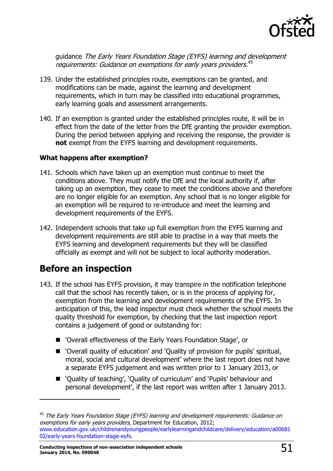

guidance The Early Years Foundation Stage (EYFS) learning and development requirements: Guidance on exemptions for early years providers. 45

- 139. Under the established principles route, exemptions can be granted, and modifications can be made, against the learning and development requirements, which in turn may be classified into educational programmes, early learning goals and assessment arrangements.
- 140. If an exemption is granted under the established principles route, it will be in effect from the date of the letter from the DfE granting the provider exemption. During the period between applying and receiving the response, the provider is **not** exempt from the EYFS learning and development requirements.

#### **What happens after exemption?**

- 141. Schools which have taken up an exemption must continue to meet the conditions above. They must notify the DfE and the local authority if, after taking up an exemption, they cease to meet the conditions above and therefore are no longer eligible for an exemption. Any school that is no longer eligible for an exemption will be required to re-introduce and meet the learning and development requirements of the EYFS.
- 142. Independent schools that take up full exemption from the EYFS learning and development requirements are still able to practise in a way that meets the EYFS learning and development requirements but they will be classified officially as exempt and will not be subject to local authority moderation.

# <span id="page-50-0"></span>**Before an inspection**

- 143. If the school has EYFS provision, it may transpire in the notification telephone call that the school has recently taken, or is in the process of applying for, exemption from the learning and development requirements of the EYFS. In anticipation of this, the lead inspector must check whether the school meets the quality threshold for exemption, by checking that the last inspection report contains a judgement of good or outstanding for:
	- 'Overall effectiveness of the Early Years Foundation Stage', or
	- 'Overall quality of education' and 'Quality of provision for pupils' spiritual, moral, social and cultural development' where the last report does not have a separate EYFS judgement and was written prior to 1 January 2013, or
	- 'Quality of teaching', 'Quality of curriculum' and 'Pupils' behaviour and personal development', if the last report was written after 1 January 2013.

<sup>&</sup>lt;sup>45</sup> The Early Years Foundation Stage (EYFS) learning and development requirements: Guidance on exemptions for early years providers, Department for Education, 2012; [www.education.gov.uk/childrenandyoungpeople/earlylearningandchildcare/delivery/education/a00681](http://www.education.gov.uk/childrenandyoungpeople/earlylearningandchildcare/delivery/education/a0068102/early-years-foundation-stage-eyfs) [02/early-years-foundation-stage-eyfs.](http://www.education.gov.uk/childrenandyoungpeople/earlylearningandchildcare/delivery/education/a0068102/early-years-foundation-stage-eyfs)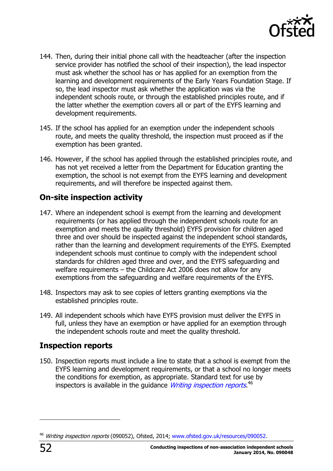

- 144. Then, during their initial phone call with the headteacher (after the inspection service provider has notified the school of their inspection), the lead inspector must ask whether the school has or has applied for an exemption from the learning and development requirements of the Early Years Foundation Stage. If so, the lead inspector must ask whether the application was via the independent schools route, or through the established principles route, and if the latter whether the exemption covers all or part of the EYFS learning and development requirements.
- 145. If the school has applied for an exemption under the independent schools route, and meets the quality threshold, the inspection must proceed as if the exemption has been granted.
- 146. However, if the school has applied through the established principles route, and has not yet received a letter from the Department for Education granting the exemption, the school is not exempt from the EYFS learning and development requirements, and will therefore be inspected against them.

### <span id="page-51-0"></span>**On-site inspection activity**

- 147. Where an independent school is exempt from the learning and development requirements (or has applied through the independent schools route for an exemption and meets the quality threshold) EYFS provision for children aged three and over should be inspected against the independent school standards, rather than the learning and development requirements of the EYFS. Exempted independent schools must continue to comply with the independent school standards for children aged three and over, and the EYFS safeguarding and welfare requirements – the Childcare Act 2006 does not allow for any exemptions from the safeguarding and welfare requirements of the EYFS.
- 148. Inspectors may ask to see copies of letters granting exemptions via the established principles route.
- 149. All independent schools which have EYFS provision must deliver the EYFS in full, unless they have an exemption or have applied for an exemption through the independent schools route and meet the quality threshold.

### <span id="page-51-1"></span>**Inspection reports**

150. Inspection reports must include a line to state that a school is exempt from the EYFS learning and development requirements, or that a school no longer meets the conditions for exemption, as appropriate. Standard text for use by inspectors is available in the guidance *[Writing inspection reports](http://www.ofsted.gov.uk/resources/writing-inspection-reports-independent-schools)*.<sup>46</sup>

<sup>&</sup>lt;sup>46</sup> Writing inspection reports (090052), Ofsted, 2014; [www.ofsted.gov.uk/resources/090052.](http://www.ofsted.gov.uk/resources/090052)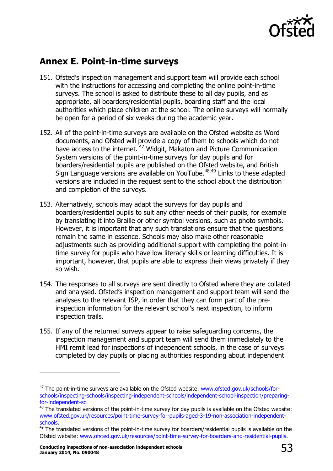

# <span id="page-52-0"></span>**Annex E. Point-in-time surveys**

- 151. Ofsted's inspection management and support team will provide each school with the instructions for accessing and completing the online point-in-time surveys. The school is asked to distribute these to all day pupils, and as appropriate, all boarders/residential pupils, boarding staff and the local authorities which place children at the school. The online surveys will normally be open for a period of six weeks during the academic year.
- 152. All of the point-in-time surveys are available on the Ofsted website as Word documents, and Ofsted will provide a copy of them to schools which do not have access to the internet.  $47$  Widgit, Makaton and Picture Communication System versions of the point-in-time surveys for day pupils and for boarders/residential pupils are published on the Ofsted website, and British Sign Language versions are available on YouTube.<sup>48,49</sup> Links to these adapted versions are included in the request sent to the school about the distribution and completion of the surveys.
- 153. Alternatively, schools may adapt the surveys for day pupils and boarders/residential pupils to suit any other needs of their pupils, for example by translating it into Braille or other symbol versions, such as photo symbols. However, it is important that any such translations ensure that the questions remain the same in essence. Schools may also make other reasonable adjustments such as providing additional support with completing the point-intime survey for pupils who have low literacy skills or learning difficulties. It is important, however, that pupils are able to express their views privately if they so wish.
- 154. The responses to all surveys are sent directly to Ofsted where they are collated and analysed. Ofsted's inspection management and support team will send the analyses to the relevant ISP, in order that they can form part of the preinspection information for the relevant school's next inspection, to inform inspection trails.
- 155. If any of the returned surveys appear to raise safeguarding concerns, the inspection management and support team will send them immediately to the HMI remit lead for inspections of independent schools, in the case of surveys completed by day pupils or placing authorities responding about independent

 $\overline{a}$ 

 $47$  The point-in-time surveys are available on the Ofsted website: [www.ofsted.gov.uk/schools/for](http://www.ofsted.gov.uk/schools/for-schools/inspecting-schools/inspecting-independent-schools/independent-school-inspection/preparing-for-independent-sc)[schools/inspecting-schools/inspecting-independent-schools/independent-school-inspection/preparing](http://www.ofsted.gov.uk/schools/for-schools/inspecting-schools/inspecting-independent-schools/independent-school-inspection/preparing-for-independent-sc)[for-independent-sc.](http://www.ofsted.gov.uk/schools/for-schools/inspecting-schools/inspecting-independent-schools/independent-school-inspection/preparing-for-independent-sc)

 $48$  [The](http://www.ofsted.gov.uk/schools/for-schools/inspecting-schools/inspecting-boarding-and-residential-special-schools/boarding-or-residential-special-schoo) translated versions of the point-in-time survey for day pupils is available on the Ofsted website: [www.ofsted.gov.uk/resources/point-time-survey-for-pupils-aged-3-19-non-association-independent](http://www.ofsted.gov.uk/resources/point-time-survey-for-pupils-aged-3-19-non-association-independent-schools)[schools.](http://www.ofsted.gov.uk/resources/point-time-survey-for-pupils-aged-3-19-non-association-independent-schools)

 $49$  The translated versions of the point-in-time survey for boarders/residential pupils is available on the Ofsted website: [www.ofsted.gov.uk/resources/point-time-survey-for-boarders-and-residential-pupils.](http://www.ofsted.gov.uk/resources/point-time-survey-for-boarders-and-residential-pupils)